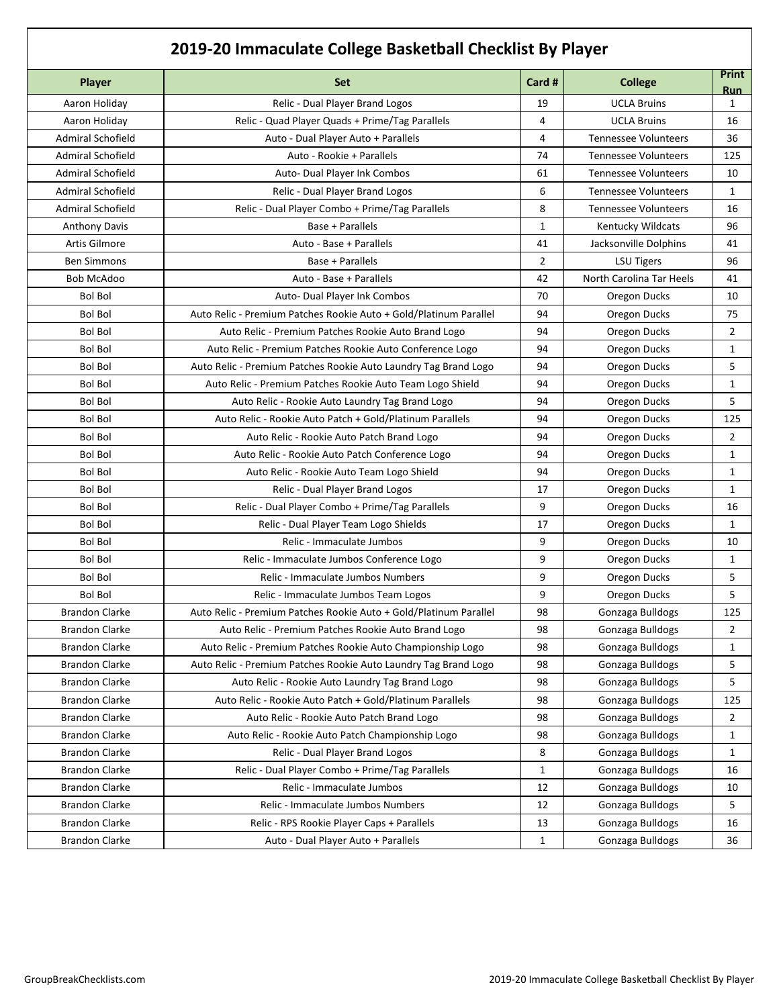## **2019-20 Immaculate College Basketball Checklist By Player**

|                          | Le mimatarate conce basic tour cricerinst by Fiager               |                |                             |                     |  |
|--------------------------|-------------------------------------------------------------------|----------------|-----------------------------|---------------------|--|
| Player                   | <b>Set</b>                                                        | Card #         | <b>College</b>              | <b>Print</b><br>Run |  |
| Aaron Holiday            | Relic - Dual Player Brand Logos                                   | 19             | <b>UCLA Bruins</b>          | $\mathbf{1}$        |  |
| Aaron Holiday            | Relic - Quad Player Quads + Prime/Tag Parallels                   | 4              | <b>UCLA Bruins</b>          | 16                  |  |
| <b>Admiral Schofield</b> | Auto - Dual Player Auto + Parallels                               | 4              | <b>Tennessee Volunteers</b> | 36                  |  |
| <b>Admiral Schofield</b> | Auto - Rookie + Parallels                                         | 74             | <b>Tennessee Volunteers</b> | 125                 |  |
| <b>Admiral Schofield</b> | Auto- Dual Player Ink Combos                                      | 61             | <b>Tennessee Volunteers</b> | 10                  |  |
| <b>Admiral Schofield</b> | Relic - Dual Player Brand Logos                                   | 6              | <b>Tennessee Volunteers</b> | $\mathbf{1}$        |  |
| <b>Admiral Schofield</b> | Relic - Dual Player Combo + Prime/Tag Parallels                   | 8              | <b>Tennessee Volunteers</b> | 16                  |  |
| <b>Anthony Davis</b>     | Base + Parallels                                                  | $\mathbf{1}$   | Kentucky Wildcats           | 96                  |  |
| Artis Gilmore            | Auto - Base + Parallels                                           | 41             | Jacksonville Dolphins       | 41                  |  |
| <b>Ben Simmons</b>       | Base + Parallels                                                  | $\overline{2}$ | <b>LSU Tigers</b>           | 96                  |  |
| <b>Bob McAdoo</b>        | Auto - Base + Parallels                                           | 42             | North Carolina Tar Heels    | 41                  |  |
| <b>Bol Bol</b>           | Auto- Dual Player Ink Combos                                      | 70             | Oregon Ducks                | 10                  |  |
| <b>Bol Bol</b>           | Auto Relic - Premium Patches Rookie Auto + Gold/Platinum Parallel | 94             | Oregon Ducks                | 75                  |  |
| <b>Bol Bol</b>           | Auto Relic - Premium Patches Rookie Auto Brand Logo               | 94             | Oregon Ducks                | $\overline{2}$      |  |
| <b>Bol Bol</b>           | Auto Relic - Premium Patches Rookie Auto Conference Logo          | 94             | Oregon Ducks                | 1                   |  |
| <b>Bol Bol</b>           | Auto Relic - Premium Patches Rookie Auto Laundry Tag Brand Logo   | 94             | Oregon Ducks                | 5                   |  |
| <b>Bol Bol</b>           | Auto Relic - Premium Patches Rookie Auto Team Logo Shield         | 94             | Oregon Ducks                | 1                   |  |
| <b>Bol Bol</b>           | Auto Relic - Rookie Auto Laundry Tag Brand Logo                   | 94             | Oregon Ducks                | 5                   |  |
| <b>Bol Bol</b>           | Auto Relic - Rookie Auto Patch + Gold/Platinum Parallels          | 94             | Oregon Ducks                | 125                 |  |
| <b>Bol Bol</b>           | Auto Relic - Rookie Auto Patch Brand Logo                         | 94             | Oregon Ducks                | 2                   |  |
| <b>Bol Bol</b>           | Auto Relic - Rookie Auto Patch Conference Logo                    | 94             | Oregon Ducks                | $\mathbf{1}$        |  |
| <b>Bol Bol</b>           | Auto Relic - Rookie Auto Team Logo Shield                         | 94             | Oregon Ducks                | 1                   |  |
| <b>Bol Bol</b>           | Relic - Dual Player Brand Logos                                   | 17             | Oregon Ducks                | 1                   |  |
| <b>Bol Bol</b>           | Relic - Dual Player Combo + Prime/Tag Parallels                   | 9              | Oregon Ducks                | 16                  |  |
| <b>Bol Bol</b>           | Relic - Dual Player Team Logo Shields                             | 17             | Oregon Ducks                | $\mathbf{1}$        |  |
| <b>Bol Bol</b>           | Relic - Immaculate Jumbos                                         | 9              | Oregon Ducks                | 10                  |  |
| <b>Bol Bol</b>           | Relic - Immaculate Jumbos Conference Logo                         | 9              | Oregon Ducks                | 1                   |  |
| <b>Bol Bol</b>           | Relic - Immaculate Jumbos Numbers                                 | 9              | Oregon Ducks                | 5                   |  |
| <b>Bol Bol</b>           | Relic - Immaculate Jumbos Team Logos                              | 9              | Oregon Ducks                | 5                   |  |
| <b>Brandon Clarke</b>    | Auto Relic - Premium Patches Rookie Auto + Gold/Platinum Parallel | 98             | Gonzaga Bulldogs            | 125                 |  |
| <b>Brandon Clarke</b>    | Auto Relic - Premium Patches Rookie Auto Brand Logo               | 98             | Gonzaga Bulldogs            | 2                   |  |
| <b>Brandon Clarke</b>    | Auto Relic - Premium Patches Rookie Auto Championship Logo        | 98             | Gonzaga Bulldogs            | 1                   |  |
| <b>Brandon Clarke</b>    | Auto Relic - Premium Patches Rookie Auto Laundry Tag Brand Logo   | 98             | Gonzaga Bulldogs            | 5                   |  |
| <b>Brandon Clarke</b>    | Auto Relic - Rookie Auto Laundry Tag Brand Logo                   | 98             | Gonzaga Bulldogs            | 5                   |  |
| <b>Brandon Clarke</b>    | Auto Relic - Rookie Auto Patch + Gold/Platinum Parallels          | 98             | Gonzaga Bulldogs            | 125                 |  |
| <b>Brandon Clarke</b>    | Auto Relic - Rookie Auto Patch Brand Logo                         | 98             | Gonzaga Bulldogs            | 2                   |  |
| <b>Brandon Clarke</b>    | Auto Relic - Rookie Auto Patch Championship Logo                  | 98             | Gonzaga Bulldogs            | 1                   |  |
| <b>Brandon Clarke</b>    | Relic - Dual Player Brand Logos                                   | 8              | Gonzaga Bulldogs            | 1                   |  |
| <b>Brandon Clarke</b>    | Relic - Dual Player Combo + Prime/Tag Parallels                   | 1              | Gonzaga Bulldogs            | 16                  |  |
| <b>Brandon Clarke</b>    | Relic - Immaculate Jumbos                                         | 12             | Gonzaga Bulldogs            | 10                  |  |
| <b>Brandon Clarke</b>    | Relic - Immaculate Jumbos Numbers                                 | 12             | Gonzaga Bulldogs            | 5                   |  |
| <b>Brandon Clarke</b>    | Relic - RPS Rookie Player Caps + Parallels                        | 13             | Gonzaga Bulldogs            | 16                  |  |
| <b>Brandon Clarke</b>    | Auto - Dual Player Auto + Parallels                               | $\mathbf{1}$   | Gonzaga Bulldogs            | 36                  |  |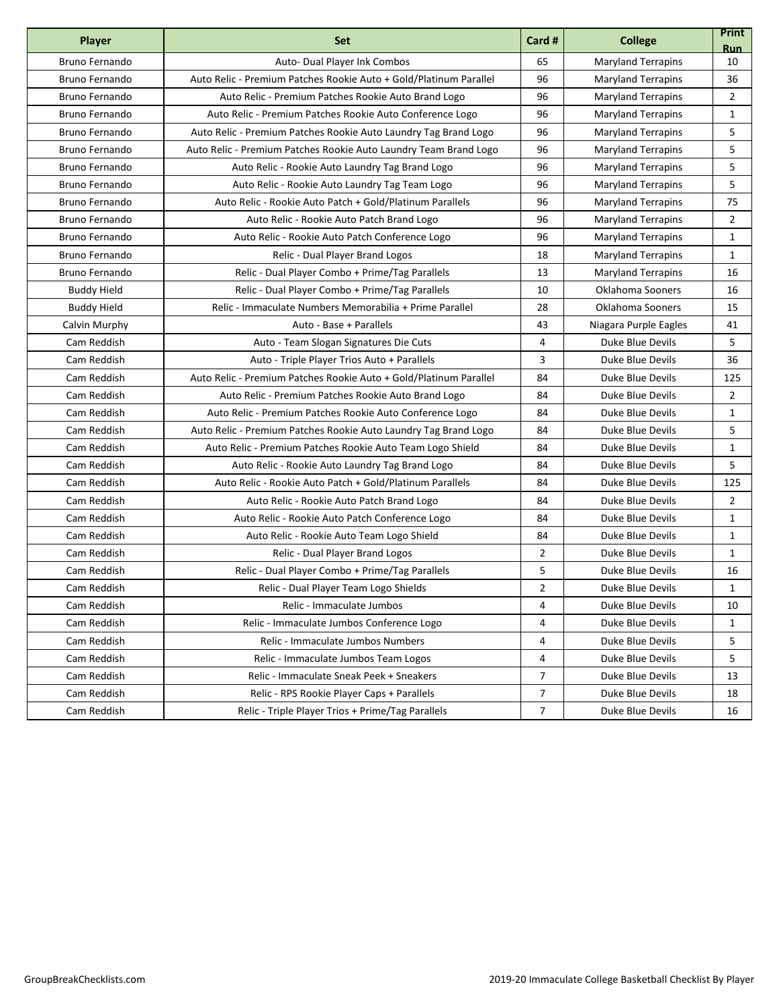| <b>Player</b>         | <b>Set</b>                                                        | Card #         | <b>College</b>            | <b>Print</b><br><b>Run</b> |
|-----------------------|-------------------------------------------------------------------|----------------|---------------------------|----------------------------|
| Bruno Fernando        | Auto- Dual Player Ink Combos                                      | 65             | <b>Maryland Terrapins</b> | 10                         |
| Bruno Fernando        | Auto Relic - Premium Patches Rookie Auto + Gold/Platinum Parallel | 96             | <b>Maryland Terrapins</b> | 36                         |
| Bruno Fernando        | Auto Relic - Premium Patches Rookie Auto Brand Logo               | 96             | <b>Maryland Terrapins</b> | 2                          |
| Bruno Fernando        | Auto Relic - Premium Patches Rookie Auto Conference Logo          | 96             | <b>Maryland Terrapins</b> | $\mathbf{1}$               |
| Bruno Fernando        | Auto Relic - Premium Patches Rookie Auto Laundry Tag Brand Logo   | 96             | <b>Maryland Terrapins</b> | 5                          |
| Bruno Fernando        | Auto Relic - Premium Patches Rookie Auto Laundry Team Brand Logo  | 96             | <b>Maryland Terrapins</b> | 5                          |
| Bruno Fernando        | Auto Relic - Rookie Auto Laundry Tag Brand Logo                   | 96             | <b>Maryland Terrapins</b> | 5                          |
| Bruno Fernando        | Auto Relic - Rookie Auto Laundry Tag Team Logo                    | 96             | <b>Maryland Terrapins</b> | 5                          |
| <b>Bruno Fernando</b> | Auto Relic - Rookie Auto Patch + Gold/Platinum Parallels          | 96             | <b>Maryland Terrapins</b> | 75                         |
| Bruno Fernando        | Auto Relic - Rookie Auto Patch Brand Logo                         | 96             | <b>Maryland Terrapins</b> | $\overline{2}$             |
| Bruno Fernando        | Auto Relic - Rookie Auto Patch Conference Logo                    | 96             | <b>Maryland Terrapins</b> | 1                          |
| Bruno Fernando        | Relic - Dual Player Brand Logos                                   | 18             | <b>Maryland Terrapins</b> | 1                          |
| Bruno Fernando        | Relic - Dual Player Combo + Prime/Tag Parallels                   | 13             | <b>Maryland Terrapins</b> | 16                         |
| <b>Buddy Hield</b>    | Relic - Dual Player Combo + Prime/Tag Parallels                   | 10             | Oklahoma Sooners          | 16                         |
| <b>Buddy Hield</b>    | Relic - Immaculate Numbers Memorabilia + Prime Parallel           | 28             | Oklahoma Sooners          | 15                         |
| Calvin Murphy         | Auto - Base + Parallels                                           | 43             | Niagara Purple Eagles     | 41                         |
| Cam Reddish           | Auto - Team Slogan Signatures Die Cuts                            | 4              | Duke Blue Devils          | 5                          |
| Cam Reddish           | Auto - Triple Player Trios Auto + Parallels                       | 3              | Duke Blue Devils          | 36                         |
| Cam Reddish           | Auto Relic - Premium Patches Rookie Auto + Gold/Platinum Parallel | 84             | Duke Blue Devils          | 125                        |
| Cam Reddish           | Auto Relic - Premium Patches Rookie Auto Brand Logo               | 84             | Duke Blue Devils          | $\overline{2}$             |
| Cam Reddish           | Auto Relic - Premium Patches Rookie Auto Conference Logo          | 84             | Duke Blue Devils          | $\mathbf{1}$               |
| Cam Reddish           | Auto Relic - Premium Patches Rookie Auto Laundry Tag Brand Logo   | 84             | Duke Blue Devils          | 5                          |
| Cam Reddish           | Auto Relic - Premium Patches Rookie Auto Team Logo Shield         | 84             | Duke Blue Devils          | $\mathbf{1}$               |
| Cam Reddish           | Auto Relic - Rookie Auto Laundry Tag Brand Logo                   | 84             | Duke Blue Devils          | 5                          |
| Cam Reddish           | Auto Relic - Rookie Auto Patch + Gold/Platinum Parallels          | 84             | Duke Blue Devils          | 125                        |
| Cam Reddish           | Auto Relic - Rookie Auto Patch Brand Logo                         | 84             | Duke Blue Devils          | 2                          |
| Cam Reddish           | Auto Relic - Rookie Auto Patch Conference Logo                    | 84             | Duke Blue Devils          | $\mathbf{1}$               |
| Cam Reddish           | Auto Relic - Rookie Auto Team Logo Shield                         | 84             | Duke Blue Devils          | $\mathbf{1}$               |
| Cam Reddish           | Relic - Dual Player Brand Logos                                   | $\overline{2}$ | Duke Blue Devils          | $\mathbf{1}$               |
| Cam Reddish           | Relic - Dual Player Combo + Prime/Tag Parallels                   | 5              | Duke Blue Devils          | 16                         |
| Cam Reddish           | Relic - Dual Player Team Logo Shields                             | $\overline{2}$ | Duke Blue Devils          | $\mathbf{1}$               |
| Cam Reddish           | Relic - Immaculate Jumbos                                         | 4              | Duke Blue Devils          | 10                         |
| Cam Reddish           | Relic - Immaculate Jumbos Conference Logo                         | 4              | Duke Blue Devils          | 1                          |
| Cam Reddish           | Relic - Immaculate Jumbos Numbers                                 | 4              | Duke Blue Devils          | 5                          |
| Cam Reddish           | Relic - Immaculate Jumbos Team Logos                              | 4              | Duke Blue Devils          | 5                          |
| Cam Reddish           | Relic - Immaculate Sneak Peek + Sneakers                          | $\overline{7}$ | Duke Blue Devils          | 13                         |
| Cam Reddish           | Relic - RPS Rookie Player Caps + Parallels                        | $\overline{7}$ | Duke Blue Devils          | 18                         |
| Cam Reddish           | Relic - Triple Player Trios + Prime/Tag Parallels                 | $\overline{7}$ | Duke Blue Devils          | 16                         |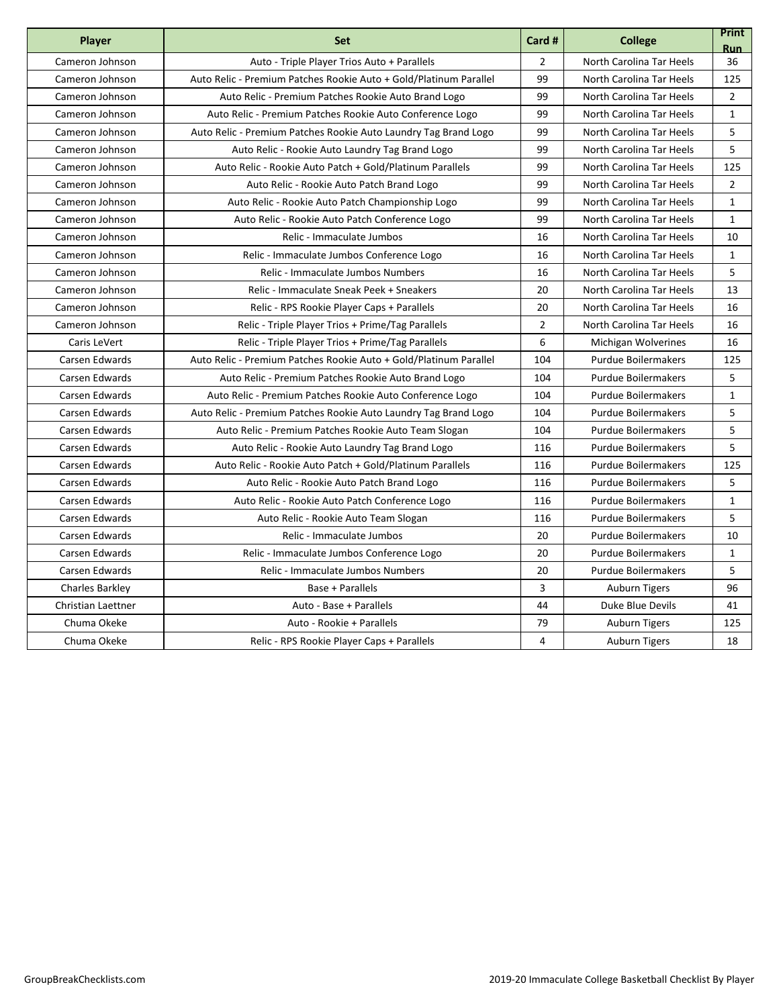| <b>Player</b>      | <b>Set</b>                                                        | Card #         | <b>College</b>             | <b>Print</b><br><b>Run</b> |
|--------------------|-------------------------------------------------------------------|----------------|----------------------------|----------------------------|
| Cameron Johnson    | Auto - Triple Player Trios Auto + Parallels                       | $\overline{2}$ | North Carolina Tar Heels   | 36                         |
| Cameron Johnson    | Auto Relic - Premium Patches Rookie Auto + Gold/Platinum Parallel | 99             | North Carolina Tar Heels   | 125                        |
| Cameron Johnson    | Auto Relic - Premium Patches Rookie Auto Brand Logo               | 99             | North Carolina Tar Heels   | $\overline{2}$             |
| Cameron Johnson    | Auto Relic - Premium Patches Rookie Auto Conference Logo          | 99             | North Carolina Tar Heels   | $\mathbf{1}$               |
| Cameron Johnson    | Auto Relic - Premium Patches Rookie Auto Laundry Tag Brand Logo   | 99             | North Carolina Tar Heels   | 5                          |
| Cameron Johnson    | Auto Relic - Rookie Auto Laundry Tag Brand Logo                   | 99             | North Carolina Tar Heels   | 5                          |
| Cameron Johnson    | Auto Relic - Rookie Auto Patch + Gold/Platinum Parallels          | 99             | North Carolina Tar Heels   | 125                        |
| Cameron Johnson    | Auto Relic - Rookie Auto Patch Brand Logo                         | 99             | North Carolina Tar Heels   | $\overline{2}$             |
| Cameron Johnson    | Auto Relic - Rookie Auto Patch Championship Logo                  | 99             | North Carolina Tar Heels   | $\mathbf{1}$               |
| Cameron Johnson    | Auto Relic - Rookie Auto Patch Conference Logo                    | 99             | North Carolina Tar Heels   | $\mathbf{1}$               |
| Cameron Johnson    | Relic - Immaculate Jumbos                                         | 16             | North Carolina Tar Heels   | 10                         |
| Cameron Johnson    | Relic - Immaculate Jumbos Conference Logo                         | 16             | North Carolina Tar Heels   | 1                          |
| Cameron Johnson    | Relic - Immaculate Jumbos Numbers                                 | 16             | North Carolina Tar Heels   | 5                          |
| Cameron Johnson    | Relic - Immaculate Sneak Peek + Sneakers                          | 20             | North Carolina Tar Heels   | 13                         |
| Cameron Johnson    | Relic - RPS Rookie Player Caps + Parallels                        | 20             | North Carolina Tar Heels   | 16                         |
| Cameron Johnson    | Relic - Triple Player Trios + Prime/Tag Parallels                 | $\overline{2}$ | North Carolina Tar Heels   | 16                         |
| Caris LeVert       | Relic - Triple Player Trios + Prime/Tag Parallels                 | 6              | Michigan Wolverines        | 16                         |
| Carsen Edwards     | Auto Relic - Premium Patches Rookie Auto + Gold/Platinum Parallel | 104            | <b>Purdue Boilermakers</b> | 125                        |
| Carsen Edwards     | Auto Relic - Premium Patches Rookie Auto Brand Logo               | 104            | <b>Purdue Boilermakers</b> | 5                          |
| Carsen Edwards     | Auto Relic - Premium Patches Rookie Auto Conference Logo          | 104            | <b>Purdue Boilermakers</b> | $\mathbf{1}$               |
| Carsen Edwards     | Auto Relic - Premium Patches Rookie Auto Laundry Tag Brand Logo   | 104            | <b>Purdue Boilermakers</b> | 5                          |
| Carsen Edwards     | Auto Relic - Premium Patches Rookie Auto Team Slogan              | 104            | <b>Purdue Boilermakers</b> | 5                          |
| Carsen Edwards     | Auto Relic - Rookie Auto Laundry Tag Brand Logo                   | 116            | <b>Purdue Boilermakers</b> | 5                          |
| Carsen Edwards     | Auto Relic - Rookie Auto Patch + Gold/Platinum Parallels          | 116            | <b>Purdue Boilermakers</b> | 125                        |
| Carsen Edwards     | Auto Relic - Rookie Auto Patch Brand Logo                         | 116            | <b>Purdue Boilermakers</b> | 5                          |
| Carsen Edwards     | Auto Relic - Rookie Auto Patch Conference Logo                    | 116            | <b>Purdue Boilermakers</b> | $\mathbf{1}$               |
| Carsen Edwards     | Auto Relic - Rookie Auto Team Slogan                              | 116            | <b>Purdue Boilermakers</b> | 5                          |
| Carsen Edwards     | Relic - Immaculate Jumbos                                         | 20             | <b>Purdue Boilermakers</b> | 10                         |
| Carsen Edwards     | Relic - Immaculate Jumbos Conference Logo                         | 20             | <b>Purdue Boilermakers</b> | $\mathbf{1}$               |
| Carsen Edwards     | Relic - Immaculate Jumbos Numbers                                 | 20             | <b>Purdue Boilermakers</b> | 5                          |
| Charles Barkley    | Base + Parallels                                                  | 3              | <b>Auburn Tigers</b>       | 96                         |
| Christian Laettner | Auto - Base + Parallels                                           | 44             | Duke Blue Devils           | 41                         |
| Chuma Okeke        | Auto - Rookie + Parallels                                         | 79             | <b>Auburn Tigers</b>       | 125                        |
| Chuma Okeke        | Relic - RPS Rookie Player Caps + Parallels                        | 4              | <b>Auburn Tigers</b>       | 18                         |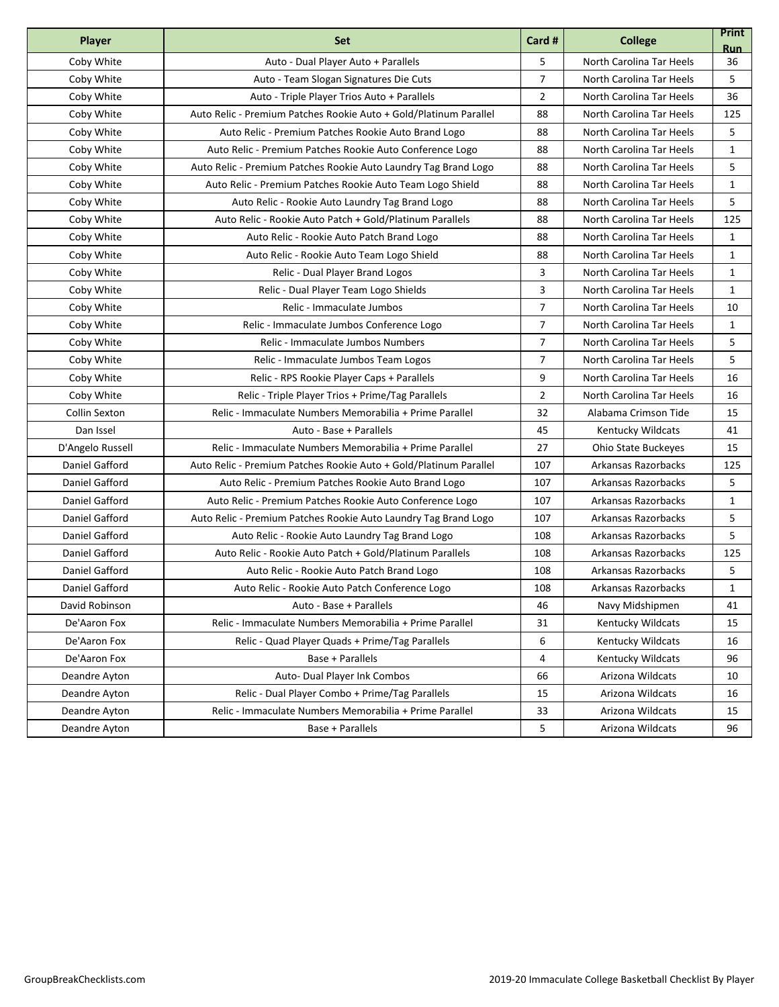| <b>Player</b>        | <b>Set</b>                                                        | Card #         | <b>College</b>           | <b>Print</b><br><b>Run</b> |
|----------------------|-------------------------------------------------------------------|----------------|--------------------------|----------------------------|
| Coby White           | Auto - Dual Player Auto + Parallels                               | 5              | North Carolina Tar Heels | 36                         |
| Coby White           | Auto - Team Slogan Signatures Die Cuts                            | $\overline{7}$ | North Carolina Tar Heels | 5                          |
| Coby White           | Auto - Triple Player Trios Auto + Parallels                       | $\overline{2}$ | North Carolina Tar Heels | 36                         |
| Coby White           | Auto Relic - Premium Patches Rookie Auto + Gold/Platinum Parallel | 88             | North Carolina Tar Heels | 125                        |
| Coby White           | Auto Relic - Premium Patches Rookie Auto Brand Logo               | 88             | North Carolina Tar Heels | 5                          |
| Coby White           | Auto Relic - Premium Patches Rookie Auto Conference Logo          | 88             | North Carolina Tar Heels | $\mathbf{1}$               |
| Coby White           | Auto Relic - Premium Patches Rookie Auto Laundry Tag Brand Logo   | 88             | North Carolina Tar Heels | 5                          |
| Coby White           | Auto Relic - Premium Patches Rookie Auto Team Logo Shield         | 88             | North Carolina Tar Heels | $\mathbf{1}$               |
| Coby White           | Auto Relic - Rookie Auto Laundry Tag Brand Logo                   | 88             | North Carolina Tar Heels | 5                          |
| Coby White           | Auto Relic - Rookie Auto Patch + Gold/Platinum Parallels          | 88             | North Carolina Tar Heels | 125                        |
| Coby White           | Auto Relic - Rookie Auto Patch Brand Logo                         | 88             | North Carolina Tar Heels | $\mathbf{1}$               |
| Coby White           | Auto Relic - Rookie Auto Team Logo Shield                         | 88             | North Carolina Tar Heels | 1                          |
| Coby White           | Relic - Dual Player Brand Logos                                   | 3              | North Carolina Tar Heels | $\mathbf{1}$               |
| Coby White           | Relic - Dual Player Team Logo Shields                             | 3              | North Carolina Tar Heels | $\mathbf{1}$               |
| Coby White           | Relic - Immaculate Jumbos                                         | $\overline{7}$ | North Carolina Tar Heels | 10                         |
| Coby White           | Relic - Immaculate Jumbos Conference Logo                         | $\overline{7}$ | North Carolina Tar Heels | 1                          |
| Coby White           | Relic - Immaculate Jumbos Numbers                                 | $\overline{7}$ | North Carolina Tar Heels | 5                          |
| Coby White           | Relic - Immaculate Jumbos Team Logos                              | $\overline{7}$ | North Carolina Tar Heels | 5                          |
| Coby White           | Relic - RPS Rookie Player Caps + Parallels                        | 9              | North Carolina Tar Heels | 16                         |
| Coby White           | Relic - Triple Player Trios + Prime/Tag Parallels                 | $\overline{2}$ | North Carolina Tar Heels | 16                         |
| <b>Collin Sexton</b> | Relic - Immaculate Numbers Memorabilia + Prime Parallel           | 32             | Alabama Crimson Tide     | 15                         |
| Dan Issel            | Auto - Base + Parallels                                           | 45             | <b>Kentucky Wildcats</b> | 41                         |
| D'Angelo Russell     | Relic - Immaculate Numbers Memorabilia + Prime Parallel           | 27             | Ohio State Buckeyes      | 15                         |
| Daniel Gafford       | Auto Relic - Premium Patches Rookie Auto + Gold/Platinum Parallel | 107            | Arkansas Razorbacks      | 125                        |
| Daniel Gafford       | Auto Relic - Premium Patches Rookie Auto Brand Logo               | 107            | Arkansas Razorbacks      | 5                          |
| Daniel Gafford       | Auto Relic - Premium Patches Rookie Auto Conference Logo          | 107            | Arkansas Razorbacks      | 1                          |
| Daniel Gafford       | Auto Relic - Premium Patches Rookie Auto Laundry Tag Brand Logo   | 107            | Arkansas Razorbacks      | 5                          |
| Daniel Gafford       | Auto Relic - Rookie Auto Laundry Tag Brand Logo                   | 108            | Arkansas Razorbacks      | 5                          |
| Daniel Gafford       | Auto Relic - Rookie Auto Patch + Gold/Platinum Parallels          | 108            | Arkansas Razorbacks      | 125                        |
| Daniel Gafford       | Auto Relic - Rookie Auto Patch Brand Logo                         | 108            | Arkansas Razorbacks      | 5                          |
| Daniel Gafford       | Auto Relic - Rookie Auto Patch Conference Logo                    | 108            | Arkansas Razorbacks      | $\mathbf{1}$               |
| David Robinson       | Auto - Base + Parallels                                           | 46             | Navy Midshipmen          | 41                         |
| De'Aaron Fox         | Relic - Immaculate Numbers Memorabilia + Prime Parallel           | 31             | Kentucky Wildcats        | 15                         |
| De'Aaron Fox         | Relic - Quad Player Quads + Prime/Tag Parallels                   | 6              | Kentucky Wildcats        | 16                         |
| De'Aaron Fox         | Base + Parallels                                                  | 4              | Kentucky Wildcats        | 96                         |
| Deandre Ayton        | Auto- Dual Player Ink Combos                                      | 66             | Arizona Wildcats         | 10                         |
| Deandre Ayton        | Relic - Dual Player Combo + Prime/Tag Parallels                   | 15             | Arizona Wildcats         | 16                         |
| Deandre Ayton        | Relic - Immaculate Numbers Memorabilia + Prime Parallel           | 33             | Arizona Wildcats         | 15                         |
| Deandre Ayton        | Base + Parallels                                                  | 5              | Arizona Wildcats         | 96                         |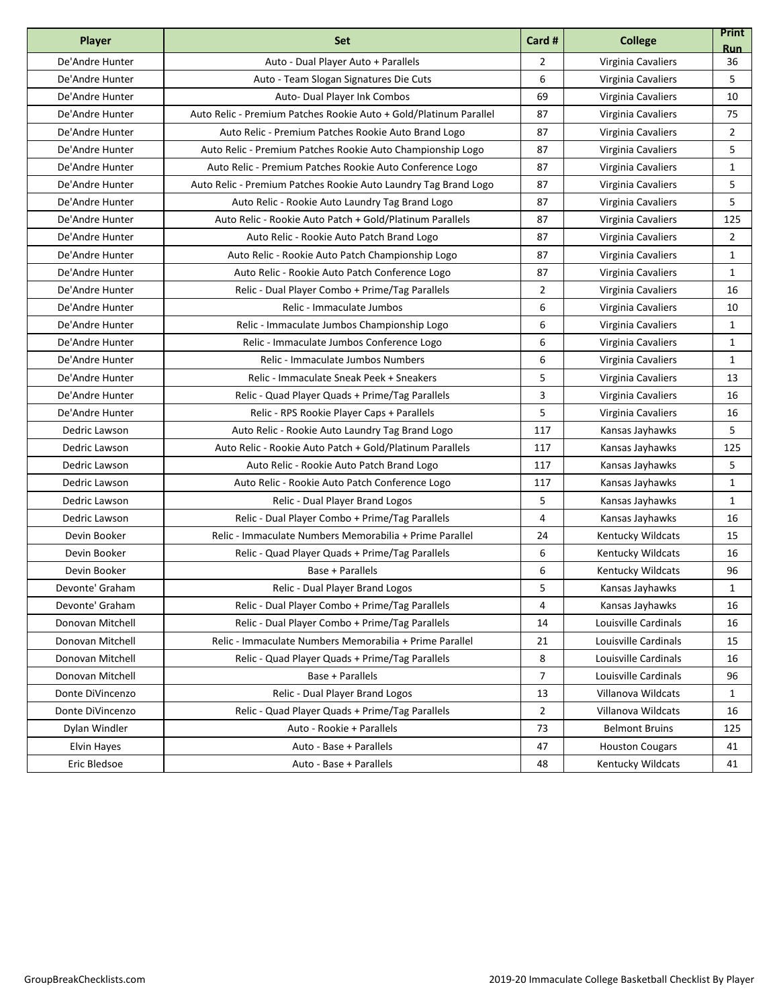| <b>Player</b>    | <b>Set</b>                                                        | Card #         | <b>College</b>           | <b>Print</b><br><b>Run</b> |
|------------------|-------------------------------------------------------------------|----------------|--------------------------|----------------------------|
| De'Andre Hunter  | Auto - Dual Player Auto + Parallels                               | $\overline{2}$ | Virginia Cavaliers       | 36                         |
| De'Andre Hunter  | Auto - Team Slogan Signatures Die Cuts                            | 6              | Virginia Cavaliers       | 5                          |
| De'Andre Hunter  | Auto- Dual Player Ink Combos                                      | 69             | Virginia Cavaliers       | 10                         |
| De'Andre Hunter  | Auto Relic - Premium Patches Rookie Auto + Gold/Platinum Parallel | 87             | Virginia Cavaliers       | 75                         |
| De'Andre Hunter  | Auto Relic - Premium Patches Rookie Auto Brand Logo               | 87             | Virginia Cavaliers       | $\overline{2}$             |
| De'Andre Hunter  | Auto Relic - Premium Patches Rookie Auto Championship Logo        | 87             | Virginia Cavaliers       | 5                          |
| De'Andre Hunter  | Auto Relic - Premium Patches Rookie Auto Conference Logo          | 87             | Virginia Cavaliers       | $\mathbf{1}$               |
| De'Andre Hunter  | Auto Relic - Premium Patches Rookie Auto Laundry Tag Brand Logo   | 87             | Virginia Cavaliers       | 5                          |
| De'Andre Hunter  | Auto Relic - Rookie Auto Laundry Tag Brand Logo                   | 87             | Virginia Cavaliers       | 5                          |
| De'Andre Hunter  | Auto Relic - Rookie Auto Patch + Gold/Platinum Parallels          | 87             | Virginia Cavaliers       | 125                        |
| De'Andre Hunter  | Auto Relic - Rookie Auto Patch Brand Logo                         | 87             | Virginia Cavaliers       | $\overline{2}$             |
| De'Andre Hunter  | Auto Relic - Rookie Auto Patch Championship Logo                  | 87             | Virginia Cavaliers       | 1                          |
| De'Andre Hunter  | Auto Relic - Rookie Auto Patch Conference Logo                    | 87             | Virginia Cavaliers       | $\mathbf{1}$               |
| De'Andre Hunter  | Relic - Dual Player Combo + Prime/Tag Parallels                   | $\overline{2}$ | Virginia Cavaliers       | 16                         |
| De'Andre Hunter  | Relic - Immaculate Jumbos                                         | 6              | Virginia Cavaliers       | 10                         |
| De'Andre Hunter  | Relic - Immaculate Jumbos Championship Logo                       | 6              | Virginia Cavaliers       | 1                          |
| De'Andre Hunter  | Relic - Immaculate Jumbos Conference Logo                         | 6              | Virginia Cavaliers       | 1                          |
| De'Andre Hunter  | Relic - Immaculate Jumbos Numbers                                 | 6              | Virginia Cavaliers       | $\mathbf{1}$               |
| De'Andre Hunter  | Relic - Immaculate Sneak Peek + Sneakers                          | 5              | Virginia Cavaliers       | 13                         |
| De'Andre Hunter  | Relic - Quad Player Quads + Prime/Tag Parallels                   | 3              | Virginia Cavaliers       | 16                         |
| De'Andre Hunter  | Relic - RPS Rookie Player Caps + Parallels                        | 5              | Virginia Cavaliers       | 16                         |
| Dedric Lawson    | Auto Relic - Rookie Auto Laundry Tag Brand Logo                   | 117            | Kansas Jayhawks          | 5                          |
| Dedric Lawson    | Auto Relic - Rookie Auto Patch + Gold/Platinum Parallels          | 117            | Kansas Jayhawks          | 125                        |
| Dedric Lawson    | Auto Relic - Rookie Auto Patch Brand Logo                         | 117            | Kansas Jayhawks          | 5                          |
| Dedric Lawson    | Auto Relic - Rookie Auto Patch Conference Logo                    | 117            | Kansas Jayhawks          | $\mathbf{1}$               |
| Dedric Lawson    | Relic - Dual Player Brand Logos                                   | 5              | Kansas Jayhawks          | 1                          |
| Dedric Lawson    | Relic - Dual Player Combo + Prime/Tag Parallels                   | 4              | Kansas Jayhawks          | 16                         |
| Devin Booker     | Relic - Immaculate Numbers Memorabilia + Prime Parallel           | 24             | <b>Kentucky Wildcats</b> | 15                         |
| Devin Booker     | Relic - Quad Player Quads + Prime/Tag Parallels                   | 6              | Kentucky Wildcats        | 16                         |
| Devin Booker     | Base + Parallels                                                  | 6              | <b>Kentucky Wildcats</b> | 96                         |
| Devonte' Graham  | Relic - Dual Player Brand Logos                                   | 5              | Kansas Jayhawks          | $\mathbf{1}$               |
| Devonte' Graham  | Relic - Dual Player Combo + Prime/Tag Parallels                   | 4              | Kansas Jayhawks          | 16                         |
| Donovan Mitchell | Relic - Dual Player Combo + Prime/Tag Parallels                   | 14             | Louisville Cardinals     | 16                         |
| Donovan Mitchell | Relic - Immaculate Numbers Memorabilia + Prime Parallel           | 21             | Louisville Cardinals     | 15                         |
| Donovan Mitchell | Relic - Quad Player Quads + Prime/Tag Parallels                   | 8              | Louisville Cardinals     | 16                         |
| Donovan Mitchell | Base + Parallels                                                  | $\overline{7}$ | Louisville Cardinals     | 96                         |
| Donte DiVincenzo | Relic - Dual Player Brand Logos                                   | 13             | Villanova Wildcats       | $\mathbf{1}$               |
| Donte DiVincenzo | Relic - Quad Player Quads + Prime/Tag Parallels                   | $\overline{2}$ | Villanova Wildcats       | 16                         |
| Dylan Windler    | Auto - Rookie + Parallels                                         | 73             | <b>Belmont Bruins</b>    | 125                        |
| Elvin Hayes      | Auto - Base + Parallels                                           | 47             | <b>Houston Cougars</b>   | 41                         |
| Eric Bledsoe     | Auto - Base + Parallels                                           | 48             | Kentucky Wildcats        | 41                         |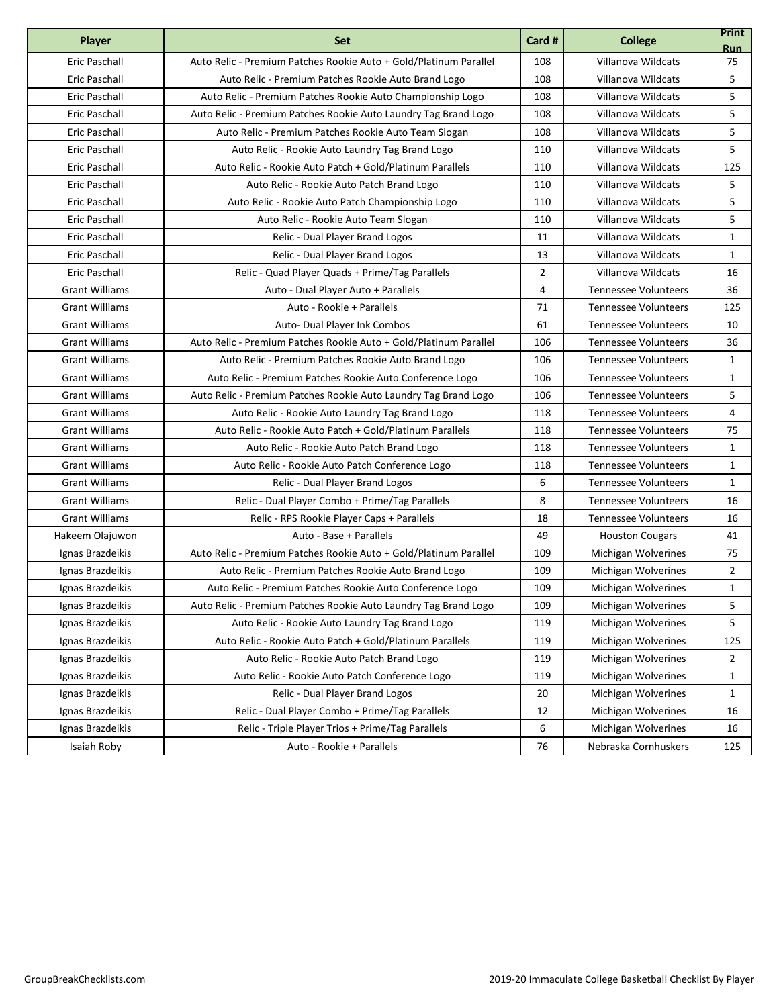| <b>Player</b>         | <b>Set</b>                                                        | Card #         | <b>College</b>              | <b>Print</b><br><b>Run</b> |
|-----------------------|-------------------------------------------------------------------|----------------|-----------------------------|----------------------------|
| <b>Eric Paschall</b>  | Auto Relic - Premium Patches Rookie Auto + Gold/Platinum Parallel | 108            | Villanova Wildcats          | 75                         |
| <b>Eric Paschall</b>  | Auto Relic - Premium Patches Rookie Auto Brand Logo               | 108            | Villanova Wildcats          | 5                          |
| Eric Paschall         | Auto Relic - Premium Patches Rookie Auto Championship Logo        | 108            | Villanova Wildcats          | 5                          |
| <b>Eric Paschall</b>  | Auto Relic - Premium Patches Rookie Auto Laundry Tag Brand Logo   | 108            | Villanova Wildcats          | 5                          |
| <b>Eric Paschall</b>  | Auto Relic - Premium Patches Rookie Auto Team Slogan              | 108            | Villanova Wildcats          | 5                          |
| Eric Paschall         | Auto Relic - Rookie Auto Laundry Tag Brand Logo                   | 110            | Villanova Wildcats          | 5                          |
| Eric Paschall         | Auto Relic - Rookie Auto Patch + Gold/Platinum Parallels          | 110            | Villanova Wildcats          | 125                        |
| Eric Paschall         | Auto Relic - Rookie Auto Patch Brand Logo                         | 110            | Villanova Wildcats          | 5                          |
| Eric Paschall         | Auto Relic - Rookie Auto Patch Championship Logo                  | 110            | Villanova Wildcats          | 5                          |
| Eric Paschall         | Auto Relic - Rookie Auto Team Slogan                              | 110            | Villanova Wildcats          | 5                          |
| Eric Paschall         | Relic - Dual Player Brand Logos                                   | 11             | Villanova Wildcats          | $\mathbf{1}$               |
| Eric Paschall         | Relic - Dual Player Brand Logos                                   | 13             | Villanova Wildcats          | 1                          |
| Eric Paschall         | Relic - Quad Player Quads + Prime/Tag Parallels                   | $\overline{2}$ | Villanova Wildcats          | 16                         |
| <b>Grant Williams</b> | Auto - Dual Player Auto + Parallels                               | 4              | <b>Tennessee Volunteers</b> | 36                         |
| <b>Grant Williams</b> | Auto - Rookie + Parallels                                         | 71             | <b>Tennessee Volunteers</b> | 125                        |
| <b>Grant Williams</b> | Auto- Dual Player Ink Combos                                      | 61             | <b>Tennessee Volunteers</b> | 10                         |
| <b>Grant Williams</b> | Auto Relic - Premium Patches Rookie Auto + Gold/Platinum Parallel | 106            | <b>Tennessee Volunteers</b> | 36                         |
| <b>Grant Williams</b> | Auto Relic - Premium Patches Rookie Auto Brand Logo               | 106            | <b>Tennessee Volunteers</b> | $\mathbf{1}$               |
| <b>Grant Williams</b> | Auto Relic - Premium Patches Rookie Auto Conference Logo          | 106            | <b>Tennessee Volunteers</b> | $\mathbf{1}$               |
| <b>Grant Williams</b> | Auto Relic - Premium Patches Rookie Auto Laundry Tag Brand Logo   | 106            | <b>Tennessee Volunteers</b> | 5                          |
| <b>Grant Williams</b> | Auto Relic - Rookie Auto Laundry Tag Brand Logo                   | 118            | <b>Tennessee Volunteers</b> | 4                          |
| <b>Grant Williams</b> | Auto Relic - Rookie Auto Patch + Gold/Platinum Parallels          | 118            | <b>Tennessee Volunteers</b> | 75                         |
| <b>Grant Williams</b> | Auto Relic - Rookie Auto Patch Brand Logo                         | 118            | <b>Tennessee Volunteers</b> | $\mathbf{1}$               |
| <b>Grant Williams</b> | Auto Relic - Rookie Auto Patch Conference Logo                    | 118            | <b>Tennessee Volunteers</b> | $\mathbf{1}$               |
| <b>Grant Williams</b> | Relic - Dual Player Brand Logos                                   | 6              | Tennessee Volunteers        | $\mathbf{1}$               |
| <b>Grant Williams</b> | Relic - Dual Player Combo + Prime/Tag Parallels                   | 8              | <b>Tennessee Volunteers</b> | 16                         |
| <b>Grant Williams</b> | Relic - RPS Rookie Player Caps + Parallels                        | 18             | <b>Tennessee Volunteers</b> | 16                         |
| Hakeem Olajuwon       | Auto - Base + Parallels                                           | 49             | <b>Houston Cougars</b>      | 41                         |
| Ignas Brazdeikis      | Auto Relic - Premium Patches Rookie Auto + Gold/Platinum Parallel | 109            | Michigan Wolverines         | 75                         |
| Ignas Brazdeikis      | Auto Relic - Premium Patches Rookie Auto Brand Logo               | 109            | Michigan Wolverines         | $\overline{2}$             |
| Ignas Brazdeikis      | Auto Relic - Premium Patches Rookie Auto Conference Logo          | 109            | Michigan Wolverines         | $\mathbf{1}$               |
| Ignas Brazdeikis      | Auto Relic - Premium Patches Rookie Auto Laundry Tag Brand Logo   | 109            | Michigan Wolverines         | 5                          |
| Ignas Brazdeikis      | Auto Relic - Rookie Auto Laundry Tag Brand Logo                   | 119            | Michigan Wolverines         | 5                          |
| Ignas Brazdeikis      | Auto Relic - Rookie Auto Patch + Gold/Platinum Parallels          | 119            | Michigan Wolverines         | 125                        |
| Ignas Brazdeikis      | Auto Relic - Rookie Auto Patch Brand Logo                         | 119            | Michigan Wolverines         | 2                          |
| Ignas Brazdeikis      | Auto Relic - Rookie Auto Patch Conference Logo                    | 119            | Michigan Wolverines         | $\mathbf{1}$               |
| Ignas Brazdeikis      | Relic - Dual Player Brand Logos                                   | 20             | Michigan Wolverines         | 1                          |
| Ignas Brazdeikis      | Relic - Dual Player Combo + Prime/Tag Parallels                   | 12             | Michigan Wolverines         | 16                         |
| Ignas Brazdeikis      | Relic - Triple Player Trios + Prime/Tag Parallels                 | 6              | Michigan Wolverines         | 16                         |
| Isaiah Roby           | Auto - Rookie + Parallels                                         | 76             | Nebraska Cornhuskers        | 125                        |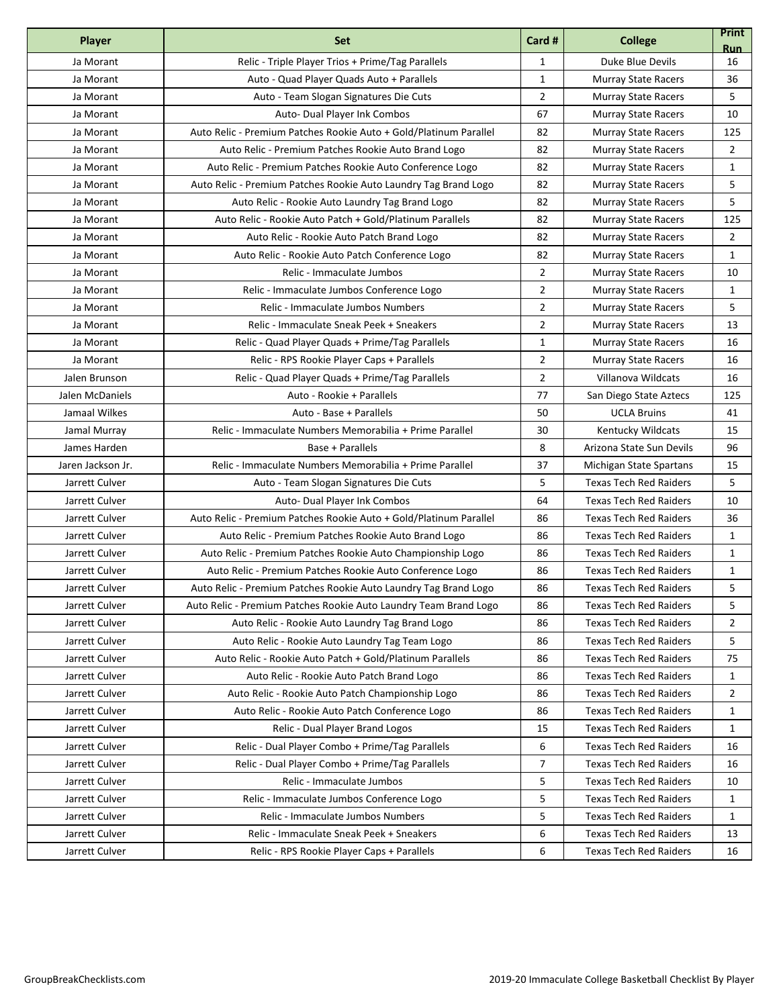| <b>Player</b>     | <b>Set</b>                                                        | Card #         | <b>College</b>                | <b>Print</b><br><b>Run</b> |
|-------------------|-------------------------------------------------------------------|----------------|-------------------------------|----------------------------|
| Ja Morant         | Relic - Triple Player Trios + Prime/Tag Parallels                 | $\mathbf{1}$   | Duke Blue Devils              | 16                         |
| Ja Morant         | Auto - Quad Player Quads Auto + Parallels                         | $\mathbf{1}$   | <b>Murray State Racers</b>    | 36                         |
| Ja Morant         | Auto - Team Slogan Signatures Die Cuts                            | $\overline{2}$ | <b>Murray State Racers</b>    | 5                          |
| Ja Morant         | Auto- Dual Player Ink Combos                                      | 67             | <b>Murray State Racers</b>    | 10                         |
| Ja Morant         | Auto Relic - Premium Patches Rookie Auto + Gold/Platinum Parallel | 82             | <b>Murray State Racers</b>    | 125                        |
| Ja Morant         | Auto Relic - Premium Patches Rookie Auto Brand Logo               | 82             | <b>Murray State Racers</b>    | 2                          |
| Ja Morant         | Auto Relic - Premium Patches Rookie Auto Conference Logo          | 82             | <b>Murray State Racers</b>    | $\mathbf{1}$               |
| Ja Morant         | Auto Relic - Premium Patches Rookie Auto Laundry Tag Brand Logo   | 82             | <b>Murray State Racers</b>    | 5                          |
| Ja Morant         | Auto Relic - Rookie Auto Laundry Tag Brand Logo                   | 82             | <b>Murray State Racers</b>    | 5                          |
| Ja Morant         | Auto Relic - Rookie Auto Patch + Gold/Platinum Parallels          | 82             | <b>Murray State Racers</b>    | 125                        |
| Ja Morant         | Auto Relic - Rookie Auto Patch Brand Logo                         | 82             | <b>Murray State Racers</b>    | $\overline{2}$             |
| Ja Morant         | Auto Relic - Rookie Auto Patch Conference Logo                    | 82             | <b>Murray State Racers</b>    | $\mathbf{1}$               |
| Ja Morant         | Relic - Immaculate Jumbos                                         | $\overline{2}$ | <b>Murray State Racers</b>    | 10                         |
| Ja Morant         | Relic - Immaculate Jumbos Conference Logo                         | $\mathbf 2$    | <b>Murray State Racers</b>    | $\mathbf{1}$               |
| Ja Morant         | Relic - Immaculate Jumbos Numbers                                 | $\overline{2}$ | <b>Murray State Racers</b>    | 5                          |
| Ja Morant         | Relic - Immaculate Sneak Peek + Sneakers                          | $\overline{2}$ | <b>Murray State Racers</b>    | 13                         |
| Ja Morant         | Relic - Quad Player Quads + Prime/Tag Parallels                   | $\mathbf{1}$   | <b>Murray State Racers</b>    | 16                         |
| Ja Morant         | Relic - RPS Rookie Player Caps + Parallels                        | $\overline{2}$ | <b>Murray State Racers</b>    | 16                         |
| Jalen Brunson     | Relic - Quad Player Quads + Prime/Tag Parallels                   | $\overline{2}$ | Villanova Wildcats            | 16                         |
| Jalen McDaniels   | Auto - Rookie + Parallels                                         | 77             | San Diego State Aztecs        | 125                        |
| Jamaal Wilkes     | Auto - Base + Parallels                                           | 50             | <b>UCLA Bruins</b>            | 41                         |
| Jamal Murray      | Relic - Immaculate Numbers Memorabilia + Prime Parallel           | 30             | <b>Kentucky Wildcats</b>      | 15                         |
| James Harden      | Base + Parallels                                                  | 8              | Arizona State Sun Devils      | 96                         |
| Jaren Jackson Jr. | Relic - Immaculate Numbers Memorabilia + Prime Parallel           | 37             | Michigan State Spartans       | 15                         |
| Jarrett Culver    | Auto - Team Slogan Signatures Die Cuts                            | 5              | <b>Texas Tech Red Raiders</b> | 5                          |
| Jarrett Culver    | Auto- Dual Player Ink Combos                                      | 64             | <b>Texas Tech Red Raiders</b> | 10                         |
| Jarrett Culver    | Auto Relic - Premium Patches Rookie Auto + Gold/Platinum Parallel | 86             | <b>Texas Tech Red Raiders</b> | 36                         |
| Jarrett Culver    | Auto Relic - Premium Patches Rookie Auto Brand Logo               | 86             | <b>Texas Tech Red Raiders</b> | $\mathbf{1}$               |
| Jarrett Culver    | Auto Relic - Premium Patches Rookie Auto Championship Logo        | 86             | <b>Texas Tech Red Raiders</b> | $\mathbf{1}$               |
| Jarrett Culver    | Auto Relic - Premium Patches Rookie Auto Conference Logo          | 86             | <b>Texas Tech Red Raiders</b> | $\mathbf{1}$               |
| Jarrett Culver    | Auto Relic - Premium Patches Rookie Auto Laundry Tag Brand Logo   | 86             | <b>Texas Tech Red Raiders</b> | 5                          |
| Jarrett Culver    | Auto Relic - Premium Patches Rookie Auto Laundry Team Brand Logo  | 86             | <b>Texas Tech Red Raiders</b> | 5                          |
| Jarrett Culver    | Auto Relic - Rookie Auto Laundry Tag Brand Logo                   | 86             | <b>Texas Tech Red Raiders</b> | 2                          |
| Jarrett Culver    | Auto Relic - Rookie Auto Laundry Tag Team Logo                    | 86             | <b>Texas Tech Red Raiders</b> | 5                          |
| Jarrett Culver    | Auto Relic - Rookie Auto Patch + Gold/Platinum Parallels          | 86             | <b>Texas Tech Red Raiders</b> | 75                         |
| Jarrett Culver    | Auto Relic - Rookie Auto Patch Brand Logo                         | 86             | <b>Texas Tech Red Raiders</b> | 1                          |
| Jarrett Culver    | Auto Relic - Rookie Auto Patch Championship Logo                  | 86             | <b>Texas Tech Red Raiders</b> | 2                          |
| Jarrett Culver    | Auto Relic - Rookie Auto Patch Conference Logo                    | 86             | <b>Texas Tech Red Raiders</b> | 1                          |
| Jarrett Culver    | Relic - Dual Player Brand Logos                                   | 15             | <b>Texas Tech Red Raiders</b> | 1                          |
| Jarrett Culver    | Relic - Dual Player Combo + Prime/Tag Parallels                   | 6              | <b>Texas Tech Red Raiders</b> | 16                         |
| Jarrett Culver    | Relic - Dual Player Combo + Prime/Tag Parallels                   | $\overline{7}$ | <b>Texas Tech Red Raiders</b> | 16                         |
| Jarrett Culver    | Relic - Immaculate Jumbos                                         | 5              | <b>Texas Tech Red Raiders</b> | 10                         |
| Jarrett Culver    | Relic - Immaculate Jumbos Conference Logo                         | 5              | <b>Texas Tech Red Raiders</b> | 1                          |
| Jarrett Culver    | Relic - Immaculate Jumbos Numbers                                 | 5              | <b>Texas Tech Red Raiders</b> | 1                          |
| Jarrett Culver    | Relic - Immaculate Sneak Peek + Sneakers                          | 6              | <b>Texas Tech Red Raiders</b> | 13                         |
| Jarrett Culver    | Relic - RPS Rookie Player Caps + Parallels                        | 6              | <b>Texas Tech Red Raiders</b> | 16                         |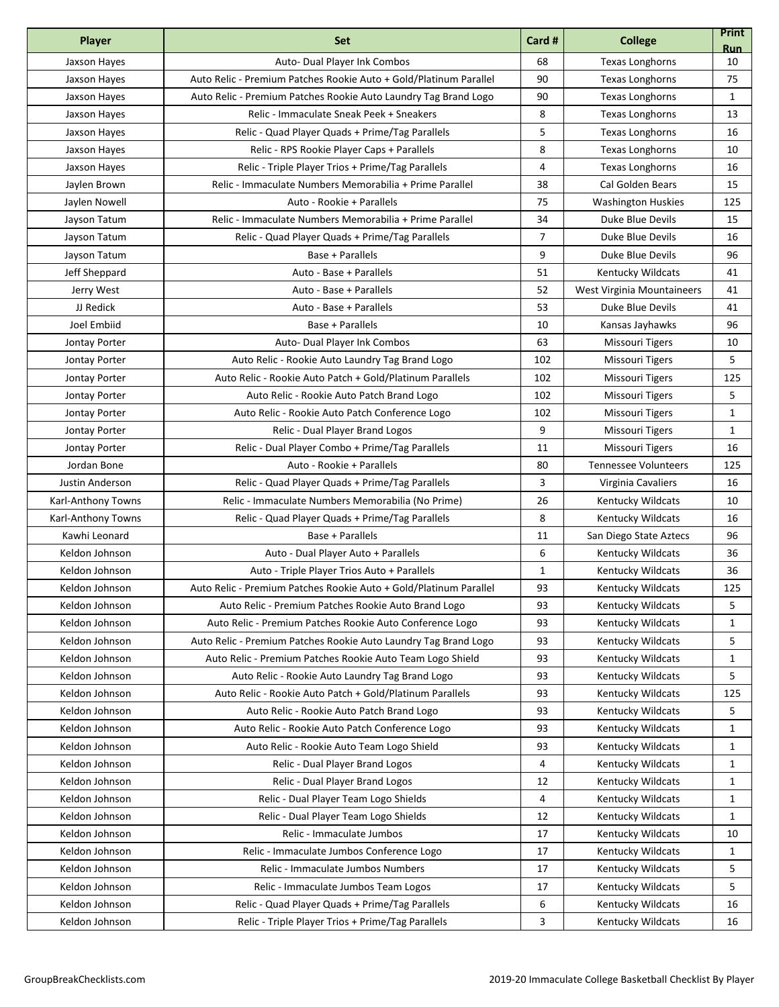| Player             | <b>Set</b>                                                        | Card #         | <b>College</b>              | <b>Print</b><br><b>Run</b> |
|--------------------|-------------------------------------------------------------------|----------------|-----------------------------|----------------------------|
| Jaxson Hayes       | Auto- Dual Player Ink Combos                                      | 68             | <b>Texas Longhorns</b>      | 10                         |
| Jaxson Hayes       | Auto Relic - Premium Patches Rookie Auto + Gold/Platinum Parallel | 90             | <b>Texas Longhorns</b>      | 75                         |
| Jaxson Hayes       | Auto Relic - Premium Patches Rookie Auto Laundry Tag Brand Logo   | 90             | <b>Texas Longhorns</b>      | 1                          |
| Jaxson Hayes       | Relic - Immaculate Sneak Peek + Sneakers                          | 8              | Texas Longhorns             | 13                         |
| Jaxson Hayes       | Relic - Quad Player Quads + Prime/Tag Parallels                   | 5              | <b>Texas Longhorns</b>      | 16                         |
| Jaxson Hayes       | Relic - RPS Rookie Player Caps + Parallels                        | 8              | <b>Texas Longhorns</b>      | 10                         |
| Jaxson Hayes       | Relic - Triple Player Trios + Prime/Tag Parallels                 | 4              | <b>Texas Longhorns</b>      | 16                         |
| Jaylen Brown       | Relic - Immaculate Numbers Memorabilia + Prime Parallel           | 38             | <b>Cal Golden Bears</b>     | 15                         |
| Jaylen Nowell      | Auto - Rookie + Parallels                                         | 75             | <b>Washington Huskies</b>   | 125                        |
| Jayson Tatum       | Relic - Immaculate Numbers Memorabilia + Prime Parallel           | 34             | Duke Blue Devils            | 15                         |
| Jayson Tatum       | Relic - Quad Player Quads + Prime/Tag Parallels                   | $\overline{7}$ | Duke Blue Devils            | 16                         |
| Jayson Tatum       | Base + Parallels                                                  | 9              | Duke Blue Devils            | 96                         |
| Jeff Sheppard      | Auto - Base + Parallels                                           | 51             | <b>Kentucky Wildcats</b>    | 41                         |
| Jerry West         | Auto - Base + Parallels                                           | 52             | West Virginia Mountaineers  | 41                         |
| JJ Redick          | Auto - Base + Parallels                                           | 53             | Duke Blue Devils            | 41                         |
| Joel Embiid        | Base + Parallels                                                  | 10             | Kansas Jayhawks             | 96                         |
| Jontay Porter      | <b>Auto- Dual Player Ink Combos</b>                               | 63             | Missouri Tigers             | 10                         |
| Jontay Porter      | Auto Relic - Rookie Auto Laundry Tag Brand Logo                   | 102            | <b>Missouri Tigers</b>      | 5                          |
| Jontay Porter      | Auto Relic - Rookie Auto Patch + Gold/Platinum Parallels          | 102            | <b>Missouri Tigers</b>      | 125                        |
| Jontay Porter      | Auto Relic - Rookie Auto Patch Brand Logo                         | 102            | <b>Missouri Tigers</b>      | 5                          |
| Jontay Porter      | Auto Relic - Rookie Auto Patch Conference Logo                    | 102            | Missouri Tigers             | 1                          |
| Jontay Porter      | Relic - Dual Player Brand Logos                                   | 9              | <b>Missouri Tigers</b>      | 1                          |
| Jontay Porter      | Relic - Dual Player Combo + Prime/Tag Parallels                   | 11             | <b>Missouri Tigers</b>      | 16                         |
| Jordan Bone        | Auto - Rookie + Parallels                                         | 80             | <b>Tennessee Volunteers</b> | 125                        |
| Justin Anderson    | Relic - Quad Player Quads + Prime/Tag Parallels                   | 3              | Virginia Cavaliers          | 16                         |
| Karl-Anthony Towns | Relic - Immaculate Numbers Memorabilia (No Prime)                 | 26             | <b>Kentucky Wildcats</b>    | 10                         |
| Karl-Anthony Towns | Relic - Quad Player Quads + Prime/Tag Parallels                   | 8              | <b>Kentucky Wildcats</b>    | 16                         |
| Kawhi Leonard      | Base + Parallels                                                  | 11             | San Diego State Aztecs      | 96                         |
| Keldon Johnson     | Auto - Dual Player Auto + Parallels                               | 6              | Kentucky Wildcats           | 36                         |
| Keldon Johnson     | Auto - Triple Player Trios Auto + Parallels                       | $\mathbf{1}$   | <b>Kentucky Wildcats</b>    | 36                         |
| Keldon Johnson     | Auto Relic - Premium Patches Rookie Auto + Gold/Platinum Parallel | 93             | Kentucky Wildcats           | 125                        |
| Keldon Johnson     | Auto Relic - Premium Patches Rookie Auto Brand Logo               | 93             | <b>Kentucky Wildcats</b>    | 5                          |
| Keldon Johnson     | Auto Relic - Premium Patches Rookie Auto Conference Logo          | 93             | Kentucky Wildcats           | 1                          |
| Keldon Johnson     | Auto Relic - Premium Patches Rookie Auto Laundry Tag Brand Logo   | 93             | Kentucky Wildcats           | 5                          |
| Keldon Johnson     | Auto Relic - Premium Patches Rookie Auto Team Logo Shield         | 93             | Kentucky Wildcats           | 1                          |
| Keldon Johnson     | Auto Relic - Rookie Auto Laundry Tag Brand Logo                   | 93             | Kentucky Wildcats           | 5                          |
| Keldon Johnson     | Auto Relic - Rookie Auto Patch + Gold/Platinum Parallels          | 93             | Kentucky Wildcats           | 125                        |
| Keldon Johnson     | Auto Relic - Rookie Auto Patch Brand Logo                         | 93             | Kentucky Wildcats           | 5                          |
| Keldon Johnson     | Auto Relic - Rookie Auto Patch Conference Logo                    | 93             | <b>Kentucky Wildcats</b>    | 1                          |
| Keldon Johnson     | Auto Relic - Rookie Auto Team Logo Shield                         | 93             | <b>Kentucky Wildcats</b>    | 1                          |
| Keldon Johnson     | Relic - Dual Player Brand Logos                                   | 4              | Kentucky Wildcats           | 1                          |
| Keldon Johnson     | Relic - Dual Player Brand Logos                                   | 12             | Kentucky Wildcats           | 1                          |
| Keldon Johnson     | Relic - Dual Player Team Logo Shields                             | 4              | Kentucky Wildcats           | 1                          |
| Keldon Johnson     | Relic - Dual Player Team Logo Shields                             | 12             | Kentucky Wildcats           | 1                          |
| Keldon Johnson     | Relic - Immaculate Jumbos                                         | 17             | Kentucky Wildcats           | 10                         |
| Keldon Johnson     | Relic - Immaculate Jumbos Conference Logo                         | 17             | Kentucky Wildcats           | 1                          |
| Keldon Johnson     | Relic - Immaculate Jumbos Numbers                                 | 17             | Kentucky Wildcats           | 5                          |
| Keldon Johnson     | Relic - Immaculate Jumbos Team Logos                              | 17             | Kentucky Wildcats           | 5                          |
| Keldon Johnson     | Relic - Quad Player Quads + Prime/Tag Parallels                   | 6              | Kentucky Wildcats           | 16                         |
| Keldon Johnson     | Relic - Triple Player Trios + Prime/Tag Parallels                 | 3              | Kentucky Wildcats           | 16                         |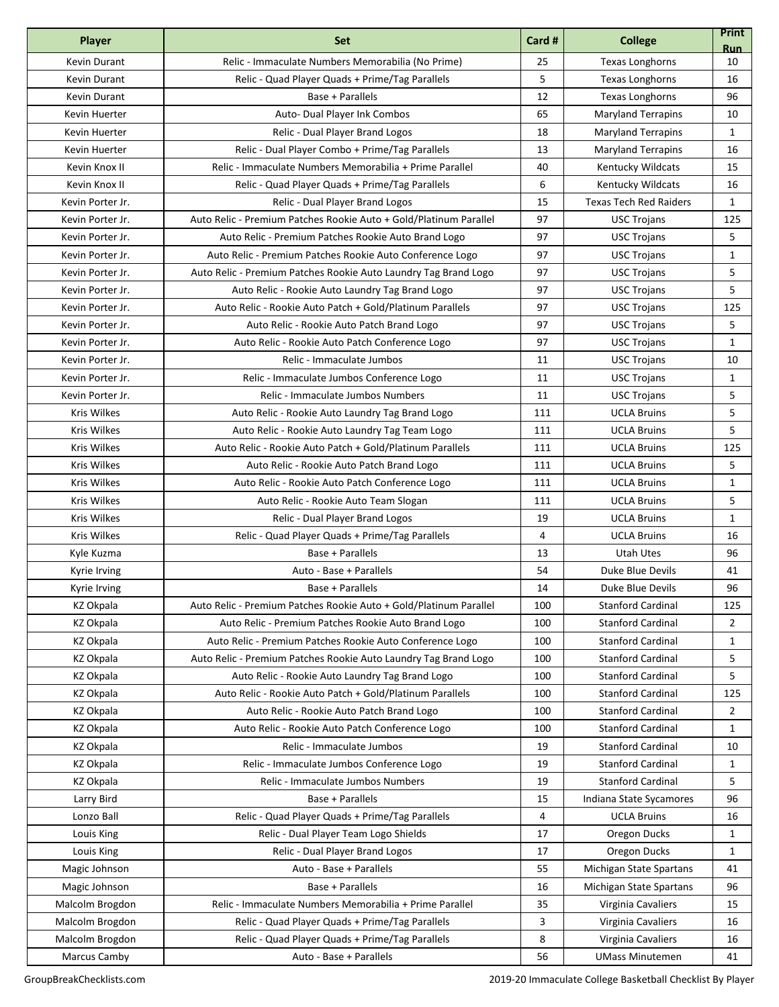| Relic - Immaculate Numbers Memorabilia (No Prime)<br>Kevin Durant<br>25<br><b>Texas Longhorns</b><br>10<br>5<br>Kevin Durant<br>Relic - Quad Player Quads + Prime/Tag Parallels<br><b>Texas Longhorns</b><br>16<br>12<br>Kevin Durant<br>Base + Parallels<br>Texas Longhorns<br>96<br>65<br>Auto- Dual Player Ink Combos<br><b>Maryland Terrapins</b><br>10<br>Kevin Huerter<br>18<br>Relic - Dual Player Brand Logos<br><b>Maryland Terrapins</b><br>$\mathbf{1}$<br>Kevin Huerter<br>13<br>Relic - Dual Player Combo + Prime/Tag Parallels<br>Kevin Huerter<br><b>Maryland Terrapins</b><br>16<br>Kevin Knox II<br>Relic - Immaculate Numbers Memorabilia + Prime Parallel<br>40<br>Kentucky Wildcats<br>15<br>6<br>Kevin Knox II<br>Relic - Quad Player Quads + Prime/Tag Parallels<br>Kentucky Wildcats<br>16<br>15<br>Relic - Dual Player Brand Logos<br><b>Texas Tech Red Raiders</b><br>$\mathbf{1}$<br>Kevin Porter Jr.<br>Auto Relic - Premium Patches Rookie Auto + Gold/Platinum Parallel<br>97<br>125<br>Kevin Porter Jr.<br><b>USC Trojans</b><br>97<br>5<br>Kevin Porter Jr.<br>Auto Relic - Premium Patches Rookie Auto Brand Logo<br><b>USC Trojans</b><br>97<br>$\mathbf{1}$<br>Kevin Porter Jr.<br>Auto Relic - Premium Patches Rookie Auto Conference Logo<br><b>USC Trojans</b><br>97<br>5<br>Kevin Porter Jr.<br>Auto Relic - Premium Patches Rookie Auto Laundry Tag Brand Logo<br><b>USC Trojans</b><br>97<br>5<br>Kevin Porter Jr.<br>Auto Relic - Rookie Auto Laundry Tag Brand Logo<br><b>USC Trojans</b><br>97<br>Auto Relic - Rookie Auto Patch + Gold/Platinum Parallels<br>125<br>Kevin Porter Jr.<br><b>USC Trojans</b><br>97<br>5<br>Kevin Porter Jr.<br>Auto Relic - Rookie Auto Patch Brand Logo<br><b>USC Trojans</b><br>97<br>Kevin Porter Jr.<br>Auto Relic - Rookie Auto Patch Conference Logo<br><b>USC Trojans</b><br>1<br>Kevin Porter Jr.<br>Relic - Immaculate Jumbos<br>11<br><b>USC Trojans</b><br>10<br>11<br>$\mathbf{1}$<br>Kevin Porter Jr.<br>Relic - Immaculate Jumbos Conference Logo<br><b>USC Trojans</b><br>5<br>Relic - Immaculate Jumbos Numbers<br>11<br>Kevin Porter Jr.<br><b>USC Trojans</b><br>5<br>Kris Wilkes<br>Auto Relic - Rookie Auto Laundry Tag Brand Logo<br>111<br><b>UCLA Bruins</b><br>Kris Wilkes<br>111<br><b>UCLA Bruins</b><br>5<br>Auto Relic - Rookie Auto Laundry Tag Team Logo<br>Kris Wilkes<br>111<br><b>UCLA Bruins</b><br>125<br>Auto Relic - Rookie Auto Patch + Gold/Platinum Parallels<br>5<br>Kris Wilkes<br>Auto Relic - Rookie Auto Patch Brand Logo<br>111<br><b>UCLA Bruins</b><br>Kris Wilkes<br>111<br><b>UCLA Bruins</b><br>Auto Relic - Rookie Auto Patch Conference Logo<br>1<br>5<br>Kris Wilkes<br>111<br><b>UCLA Bruins</b><br>Auto Relic - Rookie Auto Team Slogan<br>Kris Wilkes<br>19<br><b>UCLA Bruins</b><br>Relic - Dual Player Brand Logos<br>1<br>Kris Wilkes<br>Relic - Quad Player Quads + Prime/Tag Parallels<br>4<br><b>UCLA Bruins</b><br>16<br>13<br>Base + Parallels<br>Utah Utes<br>96<br>Kyle Kuzma<br>Auto - Base + Parallels<br>54<br>Duke Blue Devils<br>Kyrie Irving<br>41<br>96<br>Base + Parallels<br>14<br>Duke Blue Devils<br>Kyrie Irving<br><b>KZ Okpala</b><br>Auto Relic - Premium Patches Rookie Auto + Gold/Platinum Parallel<br>100<br><b>Stanford Cardinal</b><br>125<br><b>KZ Okpala</b><br>100<br><b>Stanford Cardinal</b><br>$\overline{2}$<br>Auto Relic - Premium Patches Rookie Auto Brand Logo<br>Auto Relic - Premium Patches Rookie Auto Conference Logo<br>100<br><b>Stanford Cardinal</b><br>KZ Okpala<br>1<br>5<br>KZ Okpala<br>Auto Relic - Premium Patches Rookie Auto Laundry Tag Brand Logo<br>100<br><b>Stanford Cardinal</b><br><b>KZ Okpala</b><br>100<br><b>Stanford Cardinal</b><br>5<br>Auto Relic - Rookie Auto Laundry Tag Brand Logo<br>Auto Relic - Rookie Auto Patch + Gold/Platinum Parallels<br>100<br><b>Stanford Cardinal</b><br>KZ Okpala<br>125<br><b>Stanford Cardinal</b><br><b>KZ Okpala</b><br>Auto Relic - Rookie Auto Patch Brand Logo<br>100<br>$\overline{2}$<br>KZ Okpala<br>100<br><b>Stanford Cardinal</b><br>Auto Relic - Rookie Auto Patch Conference Logo<br>1<br>Relic - Immaculate Jumbos<br><b>Stanford Cardinal</b><br>KZ Okpala<br>19<br>10<br><b>Stanford Cardinal</b><br><b>KZ Okpala</b><br>Relic - Immaculate Jumbos Conference Logo<br>19<br>1<br>Relic - Immaculate Jumbos Numbers<br>19<br><b>Stanford Cardinal</b><br>5<br>KZ Okpala<br>Base + Parallels<br>15<br>Larry Bird<br>Indiana State Sycamores<br>96<br>Lonzo Ball<br>Relic - Quad Player Quads + Prime/Tag Parallels<br>4<br><b>UCLA Bruins</b><br>16<br>Relic - Dual Player Team Logo Shields<br>17<br>Oregon Ducks<br>$\mathbf{1}$<br>Louis King<br>Relic - Dual Player Brand Logos<br>17<br>Oregon Ducks<br>Louis King<br>1<br>Auto - Base + Parallels<br>Magic Johnson<br>55<br>Michigan State Spartans<br>41<br>Base + Parallels<br>16<br>Magic Johnson<br>Michigan State Spartans<br>96<br>35<br>Relic - Immaculate Numbers Memorabilia + Prime Parallel<br>Malcolm Brogdon<br>Virginia Cavaliers<br>15<br>3<br>Malcolm Brogdon<br>Relic - Quad Player Quads + Prime/Tag Parallels<br>Virginia Cavaliers<br>16<br>8<br>Malcolm Brogdon<br>Relic - Quad Player Quads + Prime/Tag Parallels<br>Virginia Cavaliers<br>16<br>56<br>Marcus Camby<br>Auto - Base + Parallels<br><b>UMass Minutemen</b><br>41 | Player | <b>Set</b> | Card # | <b>College</b> | <b>Print</b><br><b>Run</b> |
|---------------------------------------------------------------------------------------------------------------------------------------------------------------------------------------------------------------------------------------------------------------------------------------------------------------------------------------------------------------------------------------------------------------------------------------------------------------------------------------------------------------------------------------------------------------------------------------------------------------------------------------------------------------------------------------------------------------------------------------------------------------------------------------------------------------------------------------------------------------------------------------------------------------------------------------------------------------------------------------------------------------------------------------------------------------------------------------------------------------------------------------------------------------------------------------------------------------------------------------------------------------------------------------------------------------------------------------------------------------------------------------------------------------------------------------------------------------------------------------------------------------------------------------------------------------------------------------------------------------------------------------------------------------------------------------------------------------------------------------------------------------------------------------------------------------------------------------------------------------------------------------------------------------------------------------------------------------------------------------------------------------------------------------------------------------------------------------------------------------------------------------------------------------------------------------------------------------------------------------------------------------------------------------------------------------------------------------------------------------------------------------------------------------------------------------------------------------------------------------------------------------------------------------------------------------------------------------------------------------------------------------------------------------------------------------------------------------------------------------------------------------------------------------------------------------------------------------------------------------------------------------------------------------------------------------------------------------------------------------------------------------------------------------------------------------------------------------------------------------------------------------------------------------------------------------------------------------------------------------------------------------------------------------------------------------------------------------------------------------------------------------------------------------------------------------------------------------------------------------------------------------------------------------------------------------------------------------------------------------------------------------------------------------------------------------------------------------------------------------------------------------------------------------------------------------------------------------------------------------------------------------------------------------------------------------------------------------------------------------------------------------------------------------------------------------------------------------------------------------------------------------------------------------------------------------------------------------------------------------------------------------------------------------------------------------------------------------------------------------------------------------------------------------------------------------------------------------------------------------------------------------------------------------------------------------------------------------------------------------------------------------------------------------------------------------------------------------------------------------------------------------------------------------------------------------------------------------------------------------------------------------------------------------------------------------------------------------------------------------------------------------------------------------------------------------------------------------------------------------------------------------------------------------------------------------------------------------------------------------------------------------------------------------------------------------------------------------------------------------------------|--------|------------|--------|----------------|----------------------------|
|                                                                                                                                                                                                                                                                                                                                                                                                                                                                                                                                                                                                                                                                                                                                                                                                                                                                                                                                                                                                                                                                                                                                                                                                                                                                                                                                                                                                                                                                                                                                                                                                                                                                                                                                                                                                                                                                                                                                                                                                                                                                                                                                                                                                                                                                                                                                                                                                                                                                                                                                                                                                                                                                                                                                                                                                                                                                                                                                                                                                                                                                                                                                                                                                                                                                                                                                                                                                                                                                                                                                                                                                                                                                                                                                                                                                                                                                                                                                                                                                                                                                                                                                                                                                                                                                                                                                                                                                                                                                                                                                                                                                                                                                                                                                                                                                                                                                                                                                                                                                                                                                                                                                                                                                                                                                                                                                                                           |        |            |        |                |                            |
|                                                                                                                                                                                                                                                                                                                                                                                                                                                                                                                                                                                                                                                                                                                                                                                                                                                                                                                                                                                                                                                                                                                                                                                                                                                                                                                                                                                                                                                                                                                                                                                                                                                                                                                                                                                                                                                                                                                                                                                                                                                                                                                                                                                                                                                                                                                                                                                                                                                                                                                                                                                                                                                                                                                                                                                                                                                                                                                                                                                                                                                                                                                                                                                                                                                                                                                                                                                                                                                                                                                                                                                                                                                                                                                                                                                                                                                                                                                                                                                                                                                                                                                                                                                                                                                                                                                                                                                                                                                                                                                                                                                                                                                                                                                                                                                                                                                                                                                                                                                                                                                                                                                                                                                                                                                                                                                                                                           |        |            |        |                |                            |
|                                                                                                                                                                                                                                                                                                                                                                                                                                                                                                                                                                                                                                                                                                                                                                                                                                                                                                                                                                                                                                                                                                                                                                                                                                                                                                                                                                                                                                                                                                                                                                                                                                                                                                                                                                                                                                                                                                                                                                                                                                                                                                                                                                                                                                                                                                                                                                                                                                                                                                                                                                                                                                                                                                                                                                                                                                                                                                                                                                                                                                                                                                                                                                                                                                                                                                                                                                                                                                                                                                                                                                                                                                                                                                                                                                                                                                                                                                                                                                                                                                                                                                                                                                                                                                                                                                                                                                                                                                                                                                                                                                                                                                                                                                                                                                                                                                                                                                                                                                                                                                                                                                                                                                                                                                                                                                                                                                           |        |            |        |                |                            |
|                                                                                                                                                                                                                                                                                                                                                                                                                                                                                                                                                                                                                                                                                                                                                                                                                                                                                                                                                                                                                                                                                                                                                                                                                                                                                                                                                                                                                                                                                                                                                                                                                                                                                                                                                                                                                                                                                                                                                                                                                                                                                                                                                                                                                                                                                                                                                                                                                                                                                                                                                                                                                                                                                                                                                                                                                                                                                                                                                                                                                                                                                                                                                                                                                                                                                                                                                                                                                                                                                                                                                                                                                                                                                                                                                                                                                                                                                                                                                                                                                                                                                                                                                                                                                                                                                                                                                                                                                                                                                                                                                                                                                                                                                                                                                                                                                                                                                                                                                                                                                                                                                                                                                                                                                                                                                                                                                                           |        |            |        |                |                            |
|                                                                                                                                                                                                                                                                                                                                                                                                                                                                                                                                                                                                                                                                                                                                                                                                                                                                                                                                                                                                                                                                                                                                                                                                                                                                                                                                                                                                                                                                                                                                                                                                                                                                                                                                                                                                                                                                                                                                                                                                                                                                                                                                                                                                                                                                                                                                                                                                                                                                                                                                                                                                                                                                                                                                                                                                                                                                                                                                                                                                                                                                                                                                                                                                                                                                                                                                                                                                                                                                                                                                                                                                                                                                                                                                                                                                                                                                                                                                                                                                                                                                                                                                                                                                                                                                                                                                                                                                                                                                                                                                                                                                                                                                                                                                                                                                                                                                                                                                                                                                                                                                                                                                                                                                                                                                                                                                                                           |        |            |        |                |                            |
|                                                                                                                                                                                                                                                                                                                                                                                                                                                                                                                                                                                                                                                                                                                                                                                                                                                                                                                                                                                                                                                                                                                                                                                                                                                                                                                                                                                                                                                                                                                                                                                                                                                                                                                                                                                                                                                                                                                                                                                                                                                                                                                                                                                                                                                                                                                                                                                                                                                                                                                                                                                                                                                                                                                                                                                                                                                                                                                                                                                                                                                                                                                                                                                                                                                                                                                                                                                                                                                                                                                                                                                                                                                                                                                                                                                                                                                                                                                                                                                                                                                                                                                                                                                                                                                                                                                                                                                                                                                                                                                                                                                                                                                                                                                                                                                                                                                                                                                                                                                                                                                                                                                                                                                                                                                                                                                                                                           |        |            |        |                |                            |
|                                                                                                                                                                                                                                                                                                                                                                                                                                                                                                                                                                                                                                                                                                                                                                                                                                                                                                                                                                                                                                                                                                                                                                                                                                                                                                                                                                                                                                                                                                                                                                                                                                                                                                                                                                                                                                                                                                                                                                                                                                                                                                                                                                                                                                                                                                                                                                                                                                                                                                                                                                                                                                                                                                                                                                                                                                                                                                                                                                                                                                                                                                                                                                                                                                                                                                                                                                                                                                                                                                                                                                                                                                                                                                                                                                                                                                                                                                                                                                                                                                                                                                                                                                                                                                                                                                                                                                                                                                                                                                                                                                                                                                                                                                                                                                                                                                                                                                                                                                                                                                                                                                                                                                                                                                                                                                                                                                           |        |            |        |                |                            |
|                                                                                                                                                                                                                                                                                                                                                                                                                                                                                                                                                                                                                                                                                                                                                                                                                                                                                                                                                                                                                                                                                                                                                                                                                                                                                                                                                                                                                                                                                                                                                                                                                                                                                                                                                                                                                                                                                                                                                                                                                                                                                                                                                                                                                                                                                                                                                                                                                                                                                                                                                                                                                                                                                                                                                                                                                                                                                                                                                                                                                                                                                                                                                                                                                                                                                                                                                                                                                                                                                                                                                                                                                                                                                                                                                                                                                                                                                                                                                                                                                                                                                                                                                                                                                                                                                                                                                                                                                                                                                                                                                                                                                                                                                                                                                                                                                                                                                                                                                                                                                                                                                                                                                                                                                                                                                                                                                                           |        |            |        |                |                            |
|                                                                                                                                                                                                                                                                                                                                                                                                                                                                                                                                                                                                                                                                                                                                                                                                                                                                                                                                                                                                                                                                                                                                                                                                                                                                                                                                                                                                                                                                                                                                                                                                                                                                                                                                                                                                                                                                                                                                                                                                                                                                                                                                                                                                                                                                                                                                                                                                                                                                                                                                                                                                                                                                                                                                                                                                                                                                                                                                                                                                                                                                                                                                                                                                                                                                                                                                                                                                                                                                                                                                                                                                                                                                                                                                                                                                                                                                                                                                                                                                                                                                                                                                                                                                                                                                                                                                                                                                                                                                                                                                                                                                                                                                                                                                                                                                                                                                                                                                                                                                                                                                                                                                                                                                                                                                                                                                                                           |        |            |        |                |                            |
|                                                                                                                                                                                                                                                                                                                                                                                                                                                                                                                                                                                                                                                                                                                                                                                                                                                                                                                                                                                                                                                                                                                                                                                                                                                                                                                                                                                                                                                                                                                                                                                                                                                                                                                                                                                                                                                                                                                                                                                                                                                                                                                                                                                                                                                                                                                                                                                                                                                                                                                                                                                                                                                                                                                                                                                                                                                                                                                                                                                                                                                                                                                                                                                                                                                                                                                                                                                                                                                                                                                                                                                                                                                                                                                                                                                                                                                                                                                                                                                                                                                                                                                                                                                                                                                                                                                                                                                                                                                                                                                                                                                                                                                                                                                                                                                                                                                                                                                                                                                                                                                                                                                                                                                                                                                                                                                                                                           |        |            |        |                |                            |
|                                                                                                                                                                                                                                                                                                                                                                                                                                                                                                                                                                                                                                                                                                                                                                                                                                                                                                                                                                                                                                                                                                                                                                                                                                                                                                                                                                                                                                                                                                                                                                                                                                                                                                                                                                                                                                                                                                                                                                                                                                                                                                                                                                                                                                                                                                                                                                                                                                                                                                                                                                                                                                                                                                                                                                                                                                                                                                                                                                                                                                                                                                                                                                                                                                                                                                                                                                                                                                                                                                                                                                                                                                                                                                                                                                                                                                                                                                                                                                                                                                                                                                                                                                                                                                                                                                                                                                                                                                                                                                                                                                                                                                                                                                                                                                                                                                                                                                                                                                                                                                                                                                                                                                                                                                                                                                                                                                           |        |            |        |                |                            |
|                                                                                                                                                                                                                                                                                                                                                                                                                                                                                                                                                                                                                                                                                                                                                                                                                                                                                                                                                                                                                                                                                                                                                                                                                                                                                                                                                                                                                                                                                                                                                                                                                                                                                                                                                                                                                                                                                                                                                                                                                                                                                                                                                                                                                                                                                                                                                                                                                                                                                                                                                                                                                                                                                                                                                                                                                                                                                                                                                                                                                                                                                                                                                                                                                                                                                                                                                                                                                                                                                                                                                                                                                                                                                                                                                                                                                                                                                                                                                                                                                                                                                                                                                                                                                                                                                                                                                                                                                                                                                                                                                                                                                                                                                                                                                                                                                                                                                                                                                                                                                                                                                                                                                                                                                                                                                                                                                                           |        |            |        |                |                            |
|                                                                                                                                                                                                                                                                                                                                                                                                                                                                                                                                                                                                                                                                                                                                                                                                                                                                                                                                                                                                                                                                                                                                                                                                                                                                                                                                                                                                                                                                                                                                                                                                                                                                                                                                                                                                                                                                                                                                                                                                                                                                                                                                                                                                                                                                                                                                                                                                                                                                                                                                                                                                                                                                                                                                                                                                                                                                                                                                                                                                                                                                                                                                                                                                                                                                                                                                                                                                                                                                                                                                                                                                                                                                                                                                                                                                                                                                                                                                                                                                                                                                                                                                                                                                                                                                                                                                                                                                                                                                                                                                                                                                                                                                                                                                                                                                                                                                                                                                                                                                                                                                                                                                                                                                                                                                                                                                                                           |        |            |        |                |                            |
|                                                                                                                                                                                                                                                                                                                                                                                                                                                                                                                                                                                                                                                                                                                                                                                                                                                                                                                                                                                                                                                                                                                                                                                                                                                                                                                                                                                                                                                                                                                                                                                                                                                                                                                                                                                                                                                                                                                                                                                                                                                                                                                                                                                                                                                                                                                                                                                                                                                                                                                                                                                                                                                                                                                                                                                                                                                                                                                                                                                                                                                                                                                                                                                                                                                                                                                                                                                                                                                                                                                                                                                                                                                                                                                                                                                                                                                                                                                                                                                                                                                                                                                                                                                                                                                                                                                                                                                                                                                                                                                                                                                                                                                                                                                                                                                                                                                                                                                                                                                                                                                                                                                                                                                                                                                                                                                                                                           |        |            |        |                |                            |
|                                                                                                                                                                                                                                                                                                                                                                                                                                                                                                                                                                                                                                                                                                                                                                                                                                                                                                                                                                                                                                                                                                                                                                                                                                                                                                                                                                                                                                                                                                                                                                                                                                                                                                                                                                                                                                                                                                                                                                                                                                                                                                                                                                                                                                                                                                                                                                                                                                                                                                                                                                                                                                                                                                                                                                                                                                                                                                                                                                                                                                                                                                                                                                                                                                                                                                                                                                                                                                                                                                                                                                                                                                                                                                                                                                                                                                                                                                                                                                                                                                                                                                                                                                                                                                                                                                                                                                                                                                                                                                                                                                                                                                                                                                                                                                                                                                                                                                                                                                                                                                                                                                                                                                                                                                                                                                                                                                           |        |            |        |                |                            |
|                                                                                                                                                                                                                                                                                                                                                                                                                                                                                                                                                                                                                                                                                                                                                                                                                                                                                                                                                                                                                                                                                                                                                                                                                                                                                                                                                                                                                                                                                                                                                                                                                                                                                                                                                                                                                                                                                                                                                                                                                                                                                                                                                                                                                                                                                                                                                                                                                                                                                                                                                                                                                                                                                                                                                                                                                                                                                                                                                                                                                                                                                                                                                                                                                                                                                                                                                                                                                                                                                                                                                                                                                                                                                                                                                                                                                                                                                                                                                                                                                                                                                                                                                                                                                                                                                                                                                                                                                                                                                                                                                                                                                                                                                                                                                                                                                                                                                                                                                                                                                                                                                                                                                                                                                                                                                                                                                                           |        |            |        |                |                            |
|                                                                                                                                                                                                                                                                                                                                                                                                                                                                                                                                                                                                                                                                                                                                                                                                                                                                                                                                                                                                                                                                                                                                                                                                                                                                                                                                                                                                                                                                                                                                                                                                                                                                                                                                                                                                                                                                                                                                                                                                                                                                                                                                                                                                                                                                                                                                                                                                                                                                                                                                                                                                                                                                                                                                                                                                                                                                                                                                                                                                                                                                                                                                                                                                                                                                                                                                                                                                                                                                                                                                                                                                                                                                                                                                                                                                                                                                                                                                                                                                                                                                                                                                                                                                                                                                                                                                                                                                                                                                                                                                                                                                                                                                                                                                                                                                                                                                                                                                                                                                                                                                                                                                                                                                                                                                                                                                                                           |        |            |        |                |                            |
|                                                                                                                                                                                                                                                                                                                                                                                                                                                                                                                                                                                                                                                                                                                                                                                                                                                                                                                                                                                                                                                                                                                                                                                                                                                                                                                                                                                                                                                                                                                                                                                                                                                                                                                                                                                                                                                                                                                                                                                                                                                                                                                                                                                                                                                                                                                                                                                                                                                                                                                                                                                                                                                                                                                                                                                                                                                                                                                                                                                                                                                                                                                                                                                                                                                                                                                                                                                                                                                                                                                                                                                                                                                                                                                                                                                                                                                                                                                                                                                                                                                                                                                                                                                                                                                                                                                                                                                                                                                                                                                                                                                                                                                                                                                                                                                                                                                                                                                                                                                                                                                                                                                                                                                                                                                                                                                                                                           |        |            |        |                |                            |
|                                                                                                                                                                                                                                                                                                                                                                                                                                                                                                                                                                                                                                                                                                                                                                                                                                                                                                                                                                                                                                                                                                                                                                                                                                                                                                                                                                                                                                                                                                                                                                                                                                                                                                                                                                                                                                                                                                                                                                                                                                                                                                                                                                                                                                                                                                                                                                                                                                                                                                                                                                                                                                                                                                                                                                                                                                                                                                                                                                                                                                                                                                                                                                                                                                                                                                                                                                                                                                                                                                                                                                                                                                                                                                                                                                                                                                                                                                                                                                                                                                                                                                                                                                                                                                                                                                                                                                                                                                                                                                                                                                                                                                                                                                                                                                                                                                                                                                                                                                                                                                                                                                                                                                                                                                                                                                                                                                           |        |            |        |                |                            |
|                                                                                                                                                                                                                                                                                                                                                                                                                                                                                                                                                                                                                                                                                                                                                                                                                                                                                                                                                                                                                                                                                                                                                                                                                                                                                                                                                                                                                                                                                                                                                                                                                                                                                                                                                                                                                                                                                                                                                                                                                                                                                                                                                                                                                                                                                                                                                                                                                                                                                                                                                                                                                                                                                                                                                                                                                                                                                                                                                                                                                                                                                                                                                                                                                                                                                                                                                                                                                                                                                                                                                                                                                                                                                                                                                                                                                                                                                                                                                                                                                                                                                                                                                                                                                                                                                                                                                                                                                                                                                                                                                                                                                                                                                                                                                                                                                                                                                                                                                                                                                                                                                                                                                                                                                                                                                                                                                                           |        |            |        |                |                            |
|                                                                                                                                                                                                                                                                                                                                                                                                                                                                                                                                                                                                                                                                                                                                                                                                                                                                                                                                                                                                                                                                                                                                                                                                                                                                                                                                                                                                                                                                                                                                                                                                                                                                                                                                                                                                                                                                                                                                                                                                                                                                                                                                                                                                                                                                                                                                                                                                                                                                                                                                                                                                                                                                                                                                                                                                                                                                                                                                                                                                                                                                                                                                                                                                                                                                                                                                                                                                                                                                                                                                                                                                                                                                                                                                                                                                                                                                                                                                                                                                                                                                                                                                                                                                                                                                                                                                                                                                                                                                                                                                                                                                                                                                                                                                                                                                                                                                                                                                                                                                                                                                                                                                                                                                                                                                                                                                                                           |        |            |        |                |                            |
|                                                                                                                                                                                                                                                                                                                                                                                                                                                                                                                                                                                                                                                                                                                                                                                                                                                                                                                                                                                                                                                                                                                                                                                                                                                                                                                                                                                                                                                                                                                                                                                                                                                                                                                                                                                                                                                                                                                                                                                                                                                                                                                                                                                                                                                                                                                                                                                                                                                                                                                                                                                                                                                                                                                                                                                                                                                                                                                                                                                                                                                                                                                                                                                                                                                                                                                                                                                                                                                                                                                                                                                                                                                                                                                                                                                                                                                                                                                                                                                                                                                                                                                                                                                                                                                                                                                                                                                                                                                                                                                                                                                                                                                                                                                                                                                                                                                                                                                                                                                                                                                                                                                                                                                                                                                                                                                                                                           |        |            |        |                |                            |
|                                                                                                                                                                                                                                                                                                                                                                                                                                                                                                                                                                                                                                                                                                                                                                                                                                                                                                                                                                                                                                                                                                                                                                                                                                                                                                                                                                                                                                                                                                                                                                                                                                                                                                                                                                                                                                                                                                                                                                                                                                                                                                                                                                                                                                                                                                                                                                                                                                                                                                                                                                                                                                                                                                                                                                                                                                                                                                                                                                                                                                                                                                                                                                                                                                                                                                                                                                                                                                                                                                                                                                                                                                                                                                                                                                                                                                                                                                                                                                                                                                                                                                                                                                                                                                                                                                                                                                                                                                                                                                                                                                                                                                                                                                                                                                                                                                                                                                                                                                                                                                                                                                                                                                                                                                                                                                                                                                           |        |            |        |                |                            |
|                                                                                                                                                                                                                                                                                                                                                                                                                                                                                                                                                                                                                                                                                                                                                                                                                                                                                                                                                                                                                                                                                                                                                                                                                                                                                                                                                                                                                                                                                                                                                                                                                                                                                                                                                                                                                                                                                                                                                                                                                                                                                                                                                                                                                                                                                                                                                                                                                                                                                                                                                                                                                                                                                                                                                                                                                                                                                                                                                                                                                                                                                                                                                                                                                                                                                                                                                                                                                                                                                                                                                                                                                                                                                                                                                                                                                                                                                                                                                                                                                                                                                                                                                                                                                                                                                                                                                                                                                                                                                                                                                                                                                                                                                                                                                                                                                                                                                                                                                                                                                                                                                                                                                                                                                                                                                                                                                                           |        |            |        |                |                            |
|                                                                                                                                                                                                                                                                                                                                                                                                                                                                                                                                                                                                                                                                                                                                                                                                                                                                                                                                                                                                                                                                                                                                                                                                                                                                                                                                                                                                                                                                                                                                                                                                                                                                                                                                                                                                                                                                                                                                                                                                                                                                                                                                                                                                                                                                                                                                                                                                                                                                                                                                                                                                                                                                                                                                                                                                                                                                                                                                                                                                                                                                                                                                                                                                                                                                                                                                                                                                                                                                                                                                                                                                                                                                                                                                                                                                                                                                                                                                                                                                                                                                                                                                                                                                                                                                                                                                                                                                                                                                                                                                                                                                                                                                                                                                                                                                                                                                                                                                                                                                                                                                                                                                                                                                                                                                                                                                                                           |        |            |        |                |                            |
|                                                                                                                                                                                                                                                                                                                                                                                                                                                                                                                                                                                                                                                                                                                                                                                                                                                                                                                                                                                                                                                                                                                                                                                                                                                                                                                                                                                                                                                                                                                                                                                                                                                                                                                                                                                                                                                                                                                                                                                                                                                                                                                                                                                                                                                                                                                                                                                                                                                                                                                                                                                                                                                                                                                                                                                                                                                                                                                                                                                                                                                                                                                                                                                                                                                                                                                                                                                                                                                                                                                                                                                                                                                                                                                                                                                                                                                                                                                                                                                                                                                                                                                                                                                                                                                                                                                                                                                                                                                                                                                                                                                                                                                                                                                                                                                                                                                                                                                                                                                                                                                                                                                                                                                                                                                                                                                                                                           |        |            |        |                |                            |
|                                                                                                                                                                                                                                                                                                                                                                                                                                                                                                                                                                                                                                                                                                                                                                                                                                                                                                                                                                                                                                                                                                                                                                                                                                                                                                                                                                                                                                                                                                                                                                                                                                                                                                                                                                                                                                                                                                                                                                                                                                                                                                                                                                                                                                                                                                                                                                                                                                                                                                                                                                                                                                                                                                                                                                                                                                                                                                                                                                                                                                                                                                                                                                                                                                                                                                                                                                                                                                                                                                                                                                                                                                                                                                                                                                                                                                                                                                                                                                                                                                                                                                                                                                                                                                                                                                                                                                                                                                                                                                                                                                                                                                                                                                                                                                                                                                                                                                                                                                                                                                                                                                                                                                                                                                                                                                                                                                           |        |            |        |                |                            |
|                                                                                                                                                                                                                                                                                                                                                                                                                                                                                                                                                                                                                                                                                                                                                                                                                                                                                                                                                                                                                                                                                                                                                                                                                                                                                                                                                                                                                                                                                                                                                                                                                                                                                                                                                                                                                                                                                                                                                                                                                                                                                                                                                                                                                                                                                                                                                                                                                                                                                                                                                                                                                                                                                                                                                                                                                                                                                                                                                                                                                                                                                                                                                                                                                                                                                                                                                                                                                                                                                                                                                                                                                                                                                                                                                                                                                                                                                                                                                                                                                                                                                                                                                                                                                                                                                                                                                                                                                                                                                                                                                                                                                                                                                                                                                                                                                                                                                                                                                                                                                                                                                                                                                                                                                                                                                                                                                                           |        |            |        |                |                            |
|                                                                                                                                                                                                                                                                                                                                                                                                                                                                                                                                                                                                                                                                                                                                                                                                                                                                                                                                                                                                                                                                                                                                                                                                                                                                                                                                                                                                                                                                                                                                                                                                                                                                                                                                                                                                                                                                                                                                                                                                                                                                                                                                                                                                                                                                                                                                                                                                                                                                                                                                                                                                                                                                                                                                                                                                                                                                                                                                                                                                                                                                                                                                                                                                                                                                                                                                                                                                                                                                                                                                                                                                                                                                                                                                                                                                                                                                                                                                                                                                                                                                                                                                                                                                                                                                                                                                                                                                                                                                                                                                                                                                                                                                                                                                                                                                                                                                                                                                                                                                                                                                                                                                                                                                                                                                                                                                                                           |        |            |        |                |                            |
|                                                                                                                                                                                                                                                                                                                                                                                                                                                                                                                                                                                                                                                                                                                                                                                                                                                                                                                                                                                                                                                                                                                                                                                                                                                                                                                                                                                                                                                                                                                                                                                                                                                                                                                                                                                                                                                                                                                                                                                                                                                                                                                                                                                                                                                                                                                                                                                                                                                                                                                                                                                                                                                                                                                                                                                                                                                                                                                                                                                                                                                                                                                                                                                                                                                                                                                                                                                                                                                                                                                                                                                                                                                                                                                                                                                                                                                                                                                                                                                                                                                                                                                                                                                                                                                                                                                                                                                                                                                                                                                                                                                                                                                                                                                                                                                                                                                                                                                                                                                                                                                                                                                                                                                                                                                                                                                                                                           |        |            |        |                |                            |
|                                                                                                                                                                                                                                                                                                                                                                                                                                                                                                                                                                                                                                                                                                                                                                                                                                                                                                                                                                                                                                                                                                                                                                                                                                                                                                                                                                                                                                                                                                                                                                                                                                                                                                                                                                                                                                                                                                                                                                                                                                                                                                                                                                                                                                                                                                                                                                                                                                                                                                                                                                                                                                                                                                                                                                                                                                                                                                                                                                                                                                                                                                                                                                                                                                                                                                                                                                                                                                                                                                                                                                                                                                                                                                                                                                                                                                                                                                                                                                                                                                                                                                                                                                                                                                                                                                                                                                                                                                                                                                                                                                                                                                                                                                                                                                                                                                                                                                                                                                                                                                                                                                                                                                                                                                                                                                                                                                           |        |            |        |                |                            |
|                                                                                                                                                                                                                                                                                                                                                                                                                                                                                                                                                                                                                                                                                                                                                                                                                                                                                                                                                                                                                                                                                                                                                                                                                                                                                                                                                                                                                                                                                                                                                                                                                                                                                                                                                                                                                                                                                                                                                                                                                                                                                                                                                                                                                                                                                                                                                                                                                                                                                                                                                                                                                                                                                                                                                                                                                                                                                                                                                                                                                                                                                                                                                                                                                                                                                                                                                                                                                                                                                                                                                                                                                                                                                                                                                                                                                                                                                                                                                                                                                                                                                                                                                                                                                                                                                                                                                                                                                                                                                                                                                                                                                                                                                                                                                                                                                                                                                                                                                                                                                                                                                                                                                                                                                                                                                                                                                                           |        |            |        |                |                            |
|                                                                                                                                                                                                                                                                                                                                                                                                                                                                                                                                                                                                                                                                                                                                                                                                                                                                                                                                                                                                                                                                                                                                                                                                                                                                                                                                                                                                                                                                                                                                                                                                                                                                                                                                                                                                                                                                                                                                                                                                                                                                                                                                                                                                                                                                                                                                                                                                                                                                                                                                                                                                                                                                                                                                                                                                                                                                                                                                                                                                                                                                                                                                                                                                                                                                                                                                                                                                                                                                                                                                                                                                                                                                                                                                                                                                                                                                                                                                                                                                                                                                                                                                                                                                                                                                                                                                                                                                                                                                                                                                                                                                                                                                                                                                                                                                                                                                                                                                                                                                                                                                                                                                                                                                                                                                                                                                                                           |        |            |        |                |                            |
|                                                                                                                                                                                                                                                                                                                                                                                                                                                                                                                                                                                                                                                                                                                                                                                                                                                                                                                                                                                                                                                                                                                                                                                                                                                                                                                                                                                                                                                                                                                                                                                                                                                                                                                                                                                                                                                                                                                                                                                                                                                                                                                                                                                                                                                                                                                                                                                                                                                                                                                                                                                                                                                                                                                                                                                                                                                                                                                                                                                                                                                                                                                                                                                                                                                                                                                                                                                                                                                                                                                                                                                                                                                                                                                                                                                                                                                                                                                                                                                                                                                                                                                                                                                                                                                                                                                                                                                                                                                                                                                                                                                                                                                                                                                                                                                                                                                                                                                                                                                                                                                                                                                                                                                                                                                                                                                                                                           |        |            |        |                |                            |
|                                                                                                                                                                                                                                                                                                                                                                                                                                                                                                                                                                                                                                                                                                                                                                                                                                                                                                                                                                                                                                                                                                                                                                                                                                                                                                                                                                                                                                                                                                                                                                                                                                                                                                                                                                                                                                                                                                                                                                                                                                                                                                                                                                                                                                                                                                                                                                                                                                                                                                                                                                                                                                                                                                                                                                                                                                                                                                                                                                                                                                                                                                                                                                                                                                                                                                                                                                                                                                                                                                                                                                                                                                                                                                                                                                                                                                                                                                                                                                                                                                                                                                                                                                                                                                                                                                                                                                                                                                                                                                                                                                                                                                                                                                                                                                                                                                                                                                                                                                                                                                                                                                                                                                                                                                                                                                                                                                           |        |            |        |                |                            |
|                                                                                                                                                                                                                                                                                                                                                                                                                                                                                                                                                                                                                                                                                                                                                                                                                                                                                                                                                                                                                                                                                                                                                                                                                                                                                                                                                                                                                                                                                                                                                                                                                                                                                                                                                                                                                                                                                                                                                                                                                                                                                                                                                                                                                                                                                                                                                                                                                                                                                                                                                                                                                                                                                                                                                                                                                                                                                                                                                                                                                                                                                                                                                                                                                                                                                                                                                                                                                                                                                                                                                                                                                                                                                                                                                                                                                                                                                                                                                                                                                                                                                                                                                                                                                                                                                                                                                                                                                                                                                                                                                                                                                                                                                                                                                                                                                                                                                                                                                                                                                                                                                                                                                                                                                                                                                                                                                                           |        |            |        |                |                            |
|                                                                                                                                                                                                                                                                                                                                                                                                                                                                                                                                                                                                                                                                                                                                                                                                                                                                                                                                                                                                                                                                                                                                                                                                                                                                                                                                                                                                                                                                                                                                                                                                                                                                                                                                                                                                                                                                                                                                                                                                                                                                                                                                                                                                                                                                                                                                                                                                                                                                                                                                                                                                                                                                                                                                                                                                                                                                                                                                                                                                                                                                                                                                                                                                                                                                                                                                                                                                                                                                                                                                                                                                                                                                                                                                                                                                                                                                                                                                                                                                                                                                                                                                                                                                                                                                                                                                                                                                                                                                                                                                                                                                                                                                                                                                                                                                                                                                                                                                                                                                                                                                                                                                                                                                                                                                                                                                                                           |        |            |        |                |                            |
|                                                                                                                                                                                                                                                                                                                                                                                                                                                                                                                                                                                                                                                                                                                                                                                                                                                                                                                                                                                                                                                                                                                                                                                                                                                                                                                                                                                                                                                                                                                                                                                                                                                                                                                                                                                                                                                                                                                                                                                                                                                                                                                                                                                                                                                                                                                                                                                                                                                                                                                                                                                                                                                                                                                                                                                                                                                                                                                                                                                                                                                                                                                                                                                                                                                                                                                                                                                                                                                                                                                                                                                                                                                                                                                                                                                                                                                                                                                                                                                                                                                                                                                                                                                                                                                                                                                                                                                                                                                                                                                                                                                                                                                                                                                                                                                                                                                                                                                                                                                                                                                                                                                                                                                                                                                                                                                                                                           |        |            |        |                |                            |
|                                                                                                                                                                                                                                                                                                                                                                                                                                                                                                                                                                                                                                                                                                                                                                                                                                                                                                                                                                                                                                                                                                                                                                                                                                                                                                                                                                                                                                                                                                                                                                                                                                                                                                                                                                                                                                                                                                                                                                                                                                                                                                                                                                                                                                                                                                                                                                                                                                                                                                                                                                                                                                                                                                                                                                                                                                                                                                                                                                                                                                                                                                                                                                                                                                                                                                                                                                                                                                                                                                                                                                                                                                                                                                                                                                                                                                                                                                                                                                                                                                                                                                                                                                                                                                                                                                                                                                                                                                                                                                                                                                                                                                                                                                                                                                                                                                                                                                                                                                                                                                                                                                                                                                                                                                                                                                                                                                           |        |            |        |                |                            |
|                                                                                                                                                                                                                                                                                                                                                                                                                                                                                                                                                                                                                                                                                                                                                                                                                                                                                                                                                                                                                                                                                                                                                                                                                                                                                                                                                                                                                                                                                                                                                                                                                                                                                                                                                                                                                                                                                                                                                                                                                                                                                                                                                                                                                                                                                                                                                                                                                                                                                                                                                                                                                                                                                                                                                                                                                                                                                                                                                                                                                                                                                                                                                                                                                                                                                                                                                                                                                                                                                                                                                                                                                                                                                                                                                                                                                                                                                                                                                                                                                                                                                                                                                                                                                                                                                                                                                                                                                                                                                                                                                                                                                                                                                                                                                                                                                                                                                                                                                                                                                                                                                                                                                                                                                                                                                                                                                                           |        |            |        |                |                            |
|                                                                                                                                                                                                                                                                                                                                                                                                                                                                                                                                                                                                                                                                                                                                                                                                                                                                                                                                                                                                                                                                                                                                                                                                                                                                                                                                                                                                                                                                                                                                                                                                                                                                                                                                                                                                                                                                                                                                                                                                                                                                                                                                                                                                                                                                                                                                                                                                                                                                                                                                                                                                                                                                                                                                                                                                                                                                                                                                                                                                                                                                                                                                                                                                                                                                                                                                                                                                                                                                                                                                                                                                                                                                                                                                                                                                                                                                                                                                                                                                                                                                                                                                                                                                                                                                                                                                                                                                                                                                                                                                                                                                                                                                                                                                                                                                                                                                                                                                                                                                                                                                                                                                                                                                                                                                                                                                                                           |        |            |        |                |                            |
|                                                                                                                                                                                                                                                                                                                                                                                                                                                                                                                                                                                                                                                                                                                                                                                                                                                                                                                                                                                                                                                                                                                                                                                                                                                                                                                                                                                                                                                                                                                                                                                                                                                                                                                                                                                                                                                                                                                                                                                                                                                                                                                                                                                                                                                                                                                                                                                                                                                                                                                                                                                                                                                                                                                                                                                                                                                                                                                                                                                                                                                                                                                                                                                                                                                                                                                                                                                                                                                                                                                                                                                                                                                                                                                                                                                                                                                                                                                                                                                                                                                                                                                                                                                                                                                                                                                                                                                                                                                                                                                                                                                                                                                                                                                                                                                                                                                                                                                                                                                                                                                                                                                                                                                                                                                                                                                                                                           |        |            |        |                |                            |
|                                                                                                                                                                                                                                                                                                                                                                                                                                                                                                                                                                                                                                                                                                                                                                                                                                                                                                                                                                                                                                                                                                                                                                                                                                                                                                                                                                                                                                                                                                                                                                                                                                                                                                                                                                                                                                                                                                                                                                                                                                                                                                                                                                                                                                                                                                                                                                                                                                                                                                                                                                                                                                                                                                                                                                                                                                                                                                                                                                                                                                                                                                                                                                                                                                                                                                                                                                                                                                                                                                                                                                                                                                                                                                                                                                                                                                                                                                                                                                                                                                                                                                                                                                                                                                                                                                                                                                                                                                                                                                                                                                                                                                                                                                                                                                                                                                                                                                                                                                                                                                                                                                                                                                                                                                                                                                                                                                           |        |            |        |                |                            |
|                                                                                                                                                                                                                                                                                                                                                                                                                                                                                                                                                                                                                                                                                                                                                                                                                                                                                                                                                                                                                                                                                                                                                                                                                                                                                                                                                                                                                                                                                                                                                                                                                                                                                                                                                                                                                                                                                                                                                                                                                                                                                                                                                                                                                                                                                                                                                                                                                                                                                                                                                                                                                                                                                                                                                                                                                                                                                                                                                                                                                                                                                                                                                                                                                                                                                                                                                                                                                                                                                                                                                                                                                                                                                                                                                                                                                                                                                                                                                                                                                                                                                                                                                                                                                                                                                                                                                                                                                                                                                                                                                                                                                                                                                                                                                                                                                                                                                                                                                                                                                                                                                                                                                                                                                                                                                                                                                                           |        |            |        |                |                            |
|                                                                                                                                                                                                                                                                                                                                                                                                                                                                                                                                                                                                                                                                                                                                                                                                                                                                                                                                                                                                                                                                                                                                                                                                                                                                                                                                                                                                                                                                                                                                                                                                                                                                                                                                                                                                                                                                                                                                                                                                                                                                                                                                                                                                                                                                                                                                                                                                                                                                                                                                                                                                                                                                                                                                                                                                                                                                                                                                                                                                                                                                                                                                                                                                                                                                                                                                                                                                                                                                                                                                                                                                                                                                                                                                                                                                                                                                                                                                                                                                                                                                                                                                                                                                                                                                                                                                                                                                                                                                                                                                                                                                                                                                                                                                                                                                                                                                                                                                                                                                                                                                                                                                                                                                                                                                                                                                                                           |        |            |        |                |                            |
|                                                                                                                                                                                                                                                                                                                                                                                                                                                                                                                                                                                                                                                                                                                                                                                                                                                                                                                                                                                                                                                                                                                                                                                                                                                                                                                                                                                                                                                                                                                                                                                                                                                                                                                                                                                                                                                                                                                                                                                                                                                                                                                                                                                                                                                                                                                                                                                                                                                                                                                                                                                                                                                                                                                                                                                                                                                                                                                                                                                                                                                                                                                                                                                                                                                                                                                                                                                                                                                                                                                                                                                                                                                                                                                                                                                                                                                                                                                                                                                                                                                                                                                                                                                                                                                                                                                                                                                                                                                                                                                                                                                                                                                                                                                                                                                                                                                                                                                                                                                                                                                                                                                                                                                                                                                                                                                                                                           |        |            |        |                |                            |
|                                                                                                                                                                                                                                                                                                                                                                                                                                                                                                                                                                                                                                                                                                                                                                                                                                                                                                                                                                                                                                                                                                                                                                                                                                                                                                                                                                                                                                                                                                                                                                                                                                                                                                                                                                                                                                                                                                                                                                                                                                                                                                                                                                                                                                                                                                                                                                                                                                                                                                                                                                                                                                                                                                                                                                                                                                                                                                                                                                                                                                                                                                                                                                                                                                                                                                                                                                                                                                                                                                                                                                                                                                                                                                                                                                                                                                                                                                                                                                                                                                                                                                                                                                                                                                                                                                                                                                                                                                                                                                                                                                                                                                                                                                                                                                                                                                                                                                                                                                                                                                                                                                                                                                                                                                                                                                                                                                           |        |            |        |                |                            |
|                                                                                                                                                                                                                                                                                                                                                                                                                                                                                                                                                                                                                                                                                                                                                                                                                                                                                                                                                                                                                                                                                                                                                                                                                                                                                                                                                                                                                                                                                                                                                                                                                                                                                                                                                                                                                                                                                                                                                                                                                                                                                                                                                                                                                                                                                                                                                                                                                                                                                                                                                                                                                                                                                                                                                                                                                                                                                                                                                                                                                                                                                                                                                                                                                                                                                                                                                                                                                                                                                                                                                                                                                                                                                                                                                                                                                                                                                                                                                                                                                                                                                                                                                                                                                                                                                                                                                                                                                                                                                                                                                                                                                                                                                                                                                                                                                                                                                                                                                                                                                                                                                                                                                                                                                                                                                                                                                                           |        |            |        |                |                            |
|                                                                                                                                                                                                                                                                                                                                                                                                                                                                                                                                                                                                                                                                                                                                                                                                                                                                                                                                                                                                                                                                                                                                                                                                                                                                                                                                                                                                                                                                                                                                                                                                                                                                                                                                                                                                                                                                                                                                                                                                                                                                                                                                                                                                                                                                                                                                                                                                                                                                                                                                                                                                                                                                                                                                                                                                                                                                                                                                                                                                                                                                                                                                                                                                                                                                                                                                                                                                                                                                                                                                                                                                                                                                                                                                                                                                                                                                                                                                                                                                                                                                                                                                                                                                                                                                                                                                                                                                                                                                                                                                                                                                                                                                                                                                                                                                                                                                                                                                                                                                                                                                                                                                                                                                                                                                                                                                                                           |        |            |        |                |                            |
|                                                                                                                                                                                                                                                                                                                                                                                                                                                                                                                                                                                                                                                                                                                                                                                                                                                                                                                                                                                                                                                                                                                                                                                                                                                                                                                                                                                                                                                                                                                                                                                                                                                                                                                                                                                                                                                                                                                                                                                                                                                                                                                                                                                                                                                                                                                                                                                                                                                                                                                                                                                                                                                                                                                                                                                                                                                                                                                                                                                                                                                                                                                                                                                                                                                                                                                                                                                                                                                                                                                                                                                                                                                                                                                                                                                                                                                                                                                                                                                                                                                                                                                                                                                                                                                                                                                                                                                                                                                                                                                                                                                                                                                                                                                                                                                                                                                                                                                                                                                                                                                                                                                                                                                                                                                                                                                                                                           |        |            |        |                |                            |
|                                                                                                                                                                                                                                                                                                                                                                                                                                                                                                                                                                                                                                                                                                                                                                                                                                                                                                                                                                                                                                                                                                                                                                                                                                                                                                                                                                                                                                                                                                                                                                                                                                                                                                                                                                                                                                                                                                                                                                                                                                                                                                                                                                                                                                                                                                                                                                                                                                                                                                                                                                                                                                                                                                                                                                                                                                                                                                                                                                                                                                                                                                                                                                                                                                                                                                                                                                                                                                                                                                                                                                                                                                                                                                                                                                                                                                                                                                                                                                                                                                                                                                                                                                                                                                                                                                                                                                                                                                                                                                                                                                                                                                                                                                                                                                                                                                                                                                                                                                                                                                                                                                                                                                                                                                                                                                                                                                           |        |            |        |                |                            |
|                                                                                                                                                                                                                                                                                                                                                                                                                                                                                                                                                                                                                                                                                                                                                                                                                                                                                                                                                                                                                                                                                                                                                                                                                                                                                                                                                                                                                                                                                                                                                                                                                                                                                                                                                                                                                                                                                                                                                                                                                                                                                                                                                                                                                                                                                                                                                                                                                                                                                                                                                                                                                                                                                                                                                                                                                                                                                                                                                                                                                                                                                                                                                                                                                                                                                                                                                                                                                                                                                                                                                                                                                                                                                                                                                                                                                                                                                                                                                                                                                                                                                                                                                                                                                                                                                                                                                                                                                                                                                                                                                                                                                                                                                                                                                                                                                                                                                                                                                                                                                                                                                                                                                                                                                                                                                                                                                                           |        |            |        |                |                            |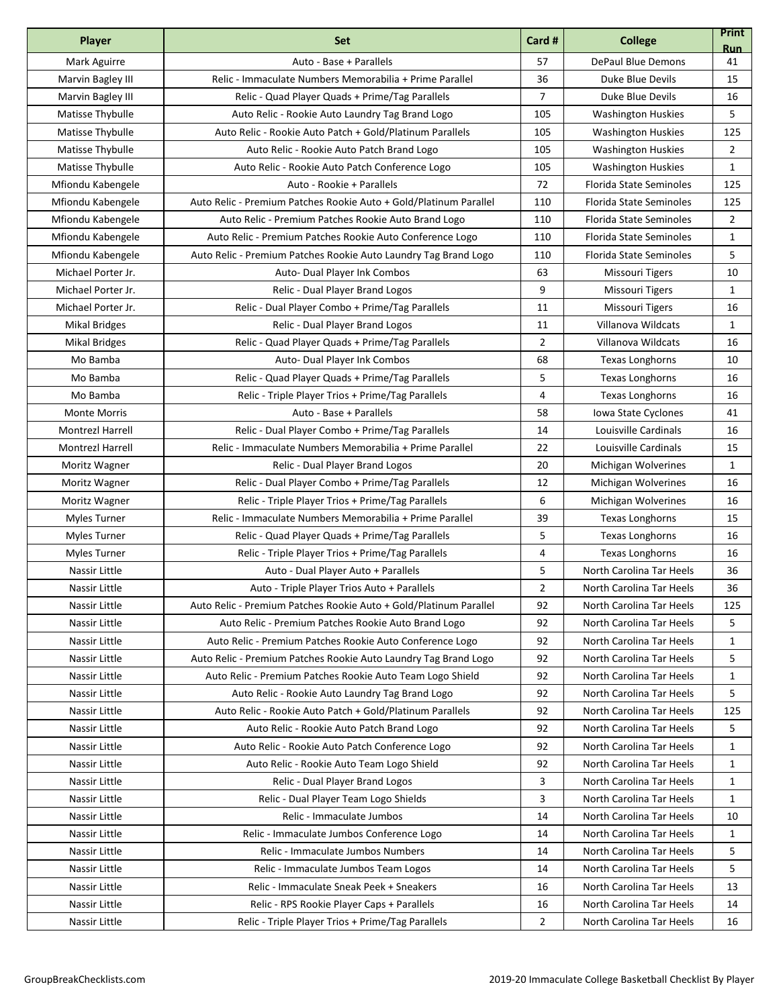| Player                  | <b>Set</b>                                                        | Card #                  | <b>College</b>                 | <b>Print</b><br><b>Run</b> |
|-------------------------|-------------------------------------------------------------------|-------------------------|--------------------------------|----------------------------|
| Mark Aguirre            | Auto - Base + Parallels                                           | 57                      | <b>DePaul Blue Demons</b>      | 41                         |
| Marvin Bagley III       | Relic - Immaculate Numbers Memorabilia + Prime Parallel           | 36                      | Duke Blue Devils               | 15                         |
| Marvin Bagley III       | Relic - Quad Player Quads + Prime/Tag Parallels                   | $\overline{7}$          | Duke Blue Devils               | 16                         |
| Matisse Thybulle        | Auto Relic - Rookie Auto Laundry Tag Brand Logo                   | 105                     | <b>Washington Huskies</b>      | 5                          |
| Matisse Thybulle        | Auto Relic - Rookie Auto Patch + Gold/Platinum Parallels          | 105                     | <b>Washington Huskies</b>      | 125                        |
| Matisse Thybulle        | Auto Relic - Rookie Auto Patch Brand Logo                         | 105                     | <b>Washington Huskies</b>      | 2                          |
| Matisse Thybulle        | Auto Relic - Rookie Auto Patch Conference Logo                    | 105                     | <b>Washington Huskies</b>      | 1                          |
| Mfiondu Kabengele       | Auto - Rookie + Parallels                                         | 72                      | Florida State Seminoles        | 125                        |
| Mfiondu Kabengele       | Auto Relic - Premium Patches Rookie Auto + Gold/Platinum Parallel | 110                     | Florida State Seminoles        | 125                        |
| Mfiondu Kabengele       | Auto Relic - Premium Patches Rookie Auto Brand Logo               | 110                     | Florida State Seminoles        | 2                          |
| Mfiondu Kabengele       | Auto Relic - Premium Patches Rookie Auto Conference Logo          | 110                     | Florida State Seminoles        | $\mathbf{1}$               |
| Mfiondu Kabengele       | Auto Relic - Premium Patches Rookie Auto Laundry Tag Brand Logo   | 110                     | <b>Florida State Seminoles</b> | 5                          |
| Michael Porter Jr.      | Auto- Dual Player Ink Combos                                      | 63                      | <b>Missouri Tigers</b>         | 10                         |
| Michael Porter Jr.      | Relic - Dual Player Brand Logos                                   | 9                       | <b>Missouri Tigers</b>         | $\mathbf{1}$               |
| Michael Porter Jr.      | Relic - Dual Player Combo + Prime/Tag Parallels                   | 11                      | <b>Missouri Tigers</b>         | 16                         |
| <b>Mikal Bridges</b>    | Relic - Dual Player Brand Logos                                   | 11                      | Villanova Wildcats             | 1                          |
| <b>Mikal Bridges</b>    | Relic - Quad Player Quads + Prime/Tag Parallels                   | $\overline{2}$          | Villanova Wildcats             | 16                         |
| Mo Bamba                | Auto- Dual Player Ink Combos                                      | 68                      | <b>Texas Longhorns</b>         | 10                         |
| Mo Bamba                | Relic - Quad Player Quads + Prime/Tag Parallels                   | 5                       | <b>Texas Longhorns</b>         | 16                         |
| Mo Bamba                | Relic - Triple Player Trios + Prime/Tag Parallels                 | $\overline{\mathbf{4}}$ | <b>Texas Longhorns</b>         | 16                         |
| <b>Monte Morris</b>     | Auto - Base + Parallels                                           | 58                      | Iowa State Cyclones            | 41                         |
| <b>Montrezl Harrell</b> | Relic - Dual Player Combo + Prime/Tag Parallels                   | 14                      | Louisville Cardinals           | 16                         |
| <b>Montrezl Harrell</b> | Relic - Immaculate Numbers Memorabilia + Prime Parallel           | 22                      | Louisville Cardinals           | 15                         |
| Moritz Wagner           | Relic - Dual Player Brand Logos                                   | 20                      | Michigan Wolverines            | $\mathbf{1}$               |
| Moritz Wagner           | Relic - Dual Player Combo + Prime/Tag Parallels                   | 12                      | Michigan Wolverines            | 16                         |
| Moritz Wagner           | Relic - Triple Player Trios + Prime/Tag Parallels                 | 6                       | Michigan Wolverines            | 16                         |
| Myles Turner            | Relic - Immaculate Numbers Memorabilia + Prime Parallel           | 39                      | <b>Texas Longhorns</b>         | 15                         |
| <b>Myles Turner</b>     | Relic - Quad Player Quads + Prime/Tag Parallels                   | 5                       | <b>Texas Longhorns</b>         | 16                         |
| <b>Myles Turner</b>     | Relic - Triple Player Trios + Prime/Tag Parallels                 | 4                       | <b>Texas Longhorns</b>         | 16                         |
| Nassir Little           | Auto - Dual Player Auto + Parallels                               | 5                       | North Carolina Tar Heels       | 36                         |
| Nassir Little           | Auto - Triple Player Trios Auto + Parallels                       | $\overline{2}$          | North Carolina Tar Heels       | 36                         |
| Nassir Little           | Auto Relic - Premium Patches Rookie Auto + Gold/Platinum Parallel | 92                      | North Carolina Tar Heels       | 125                        |
| Nassir Little           | Auto Relic - Premium Patches Rookie Auto Brand Logo               | 92                      | North Carolina Tar Heels       | 5                          |
| Nassir Little           | Auto Relic - Premium Patches Rookie Auto Conference Logo          | 92                      | North Carolina Tar Heels       | 1                          |
| Nassir Little           | Auto Relic - Premium Patches Rookie Auto Laundry Tag Brand Logo   | 92                      | North Carolina Tar Heels       | 5                          |
| Nassir Little           | Auto Relic - Premium Patches Rookie Auto Team Logo Shield         | 92                      | North Carolina Tar Heels       | 1                          |
| Nassir Little           | Auto Relic - Rookie Auto Laundry Tag Brand Logo                   | 92                      | North Carolina Tar Heels       | 5                          |
| Nassir Little           | Auto Relic - Rookie Auto Patch + Gold/Platinum Parallels          | 92                      | North Carolina Tar Heels       | 125                        |
| Nassir Little           | Auto Relic - Rookie Auto Patch Brand Logo                         | 92                      | North Carolina Tar Heels       | 5                          |
| Nassir Little           | Auto Relic - Rookie Auto Patch Conference Logo                    | 92                      | North Carolina Tar Heels       | 1                          |
| Nassir Little           | Auto Relic - Rookie Auto Team Logo Shield                         | 92                      | North Carolina Tar Heels       | 1                          |
| Nassir Little           | Relic - Dual Player Brand Logos                                   | 3                       | North Carolina Tar Heels       | 1                          |
| Nassir Little           | Relic - Dual Player Team Logo Shields                             | 3                       | North Carolina Tar Heels       | 1                          |
| Nassir Little           | Relic - Immaculate Jumbos                                         | 14                      | North Carolina Tar Heels       | 10                         |
| Nassir Little           | Relic - Immaculate Jumbos Conference Logo                         | 14                      | North Carolina Tar Heels       | 1                          |
| Nassir Little           | Relic - Immaculate Jumbos Numbers                                 | 14                      | North Carolina Tar Heels       | 5                          |
| Nassir Little           | Relic - Immaculate Jumbos Team Logos                              | 14                      | North Carolina Tar Heels       | 5                          |
| Nassir Little           | Relic - Immaculate Sneak Peek + Sneakers                          | 16                      | North Carolina Tar Heels       | 13                         |
| Nassir Little           | Relic - RPS Rookie Player Caps + Parallels                        | 16                      | North Carolina Tar Heels       | 14                         |
| Nassir Little           | Relic - Triple Player Trios + Prime/Tag Parallels                 | 2                       | North Carolina Tar Heels       | 16                         |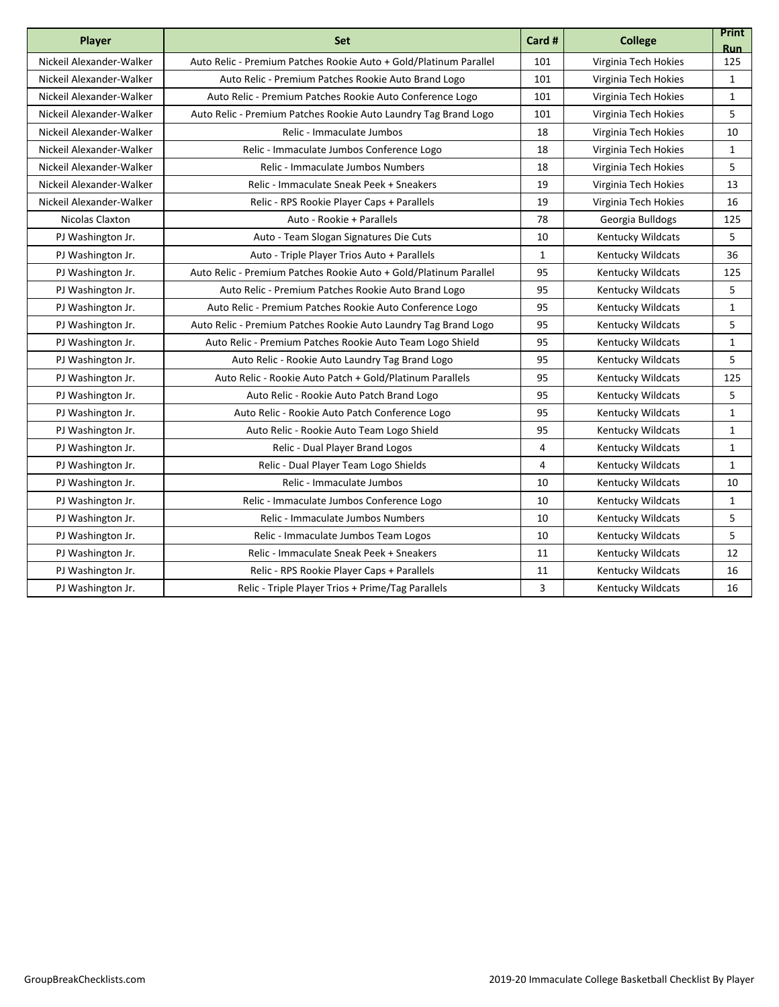| Player                   | <b>Set</b>                                                        | Card #         | <b>College</b>           | <b>Print</b><br><b>Run</b> |
|--------------------------|-------------------------------------------------------------------|----------------|--------------------------|----------------------------|
| Nickeil Alexander-Walker | Auto Relic - Premium Patches Rookie Auto + Gold/Platinum Parallel | 101            | Virginia Tech Hokies     | 125                        |
| Nickeil Alexander-Walker | Auto Relic - Premium Patches Rookie Auto Brand Logo               | 101            | Virginia Tech Hokies     | 1                          |
| Nickeil Alexander-Walker | Auto Relic - Premium Patches Rookie Auto Conference Logo          | 101            | Virginia Tech Hokies     | $\mathbf{1}$               |
| Nickeil Alexander-Walker | Auto Relic - Premium Patches Rookie Auto Laundry Tag Brand Logo   | 101            | Virginia Tech Hokies     | 5                          |
| Nickeil Alexander-Walker | Relic - Immaculate Jumbos                                         | 18             | Virginia Tech Hokies     | 10                         |
| Nickeil Alexander-Walker | Relic - Immaculate Jumbos Conference Logo                         | 18             | Virginia Tech Hokies     | 1                          |
| Nickeil Alexander-Walker | Relic - Immaculate Jumbos Numbers                                 | 18             | Virginia Tech Hokies     | 5                          |
| Nickeil Alexander-Walker | Relic - Immaculate Sneak Peek + Sneakers                          | 19             | Virginia Tech Hokies     | 13                         |
| Nickeil Alexander-Walker | Relic - RPS Rookie Player Caps + Parallels                        | 19             | Virginia Tech Hokies     | 16                         |
| Nicolas Claxton          | Auto - Rookie + Parallels                                         | 78             | Georgia Bulldogs         | 125                        |
| PJ Washington Jr.        | Auto - Team Slogan Signatures Die Cuts                            | 10             | Kentucky Wildcats        | 5                          |
| PJ Washington Jr.        | Auto - Triple Player Trios Auto + Parallels                       | $\mathbf{1}$   | Kentucky Wildcats        | 36                         |
| PJ Washington Jr.        | Auto Relic - Premium Patches Rookie Auto + Gold/Platinum Parallel | 95             | Kentucky Wildcats        | 125                        |
| PJ Washington Jr.        | Auto Relic - Premium Patches Rookie Auto Brand Logo               | 95             | Kentucky Wildcats        | 5                          |
| PJ Washington Jr.        | Auto Relic - Premium Patches Rookie Auto Conference Logo          | 95             | <b>Kentucky Wildcats</b> | $\mathbf{1}$               |
| PJ Washington Jr.        | Auto Relic - Premium Patches Rookie Auto Laundry Tag Brand Logo   | 95             | Kentucky Wildcats        | 5                          |
| PJ Washington Jr.        | Auto Relic - Premium Patches Rookie Auto Team Logo Shield         | 95             | <b>Kentucky Wildcats</b> | $\mathbf{1}$               |
| PJ Washington Jr.        | Auto Relic - Rookie Auto Laundry Tag Brand Logo                   | 95             | Kentucky Wildcats        | 5                          |
| PJ Washington Jr.        | Auto Relic - Rookie Auto Patch + Gold/Platinum Parallels          | 95             | Kentucky Wildcats        | 125                        |
| PJ Washington Jr.        | Auto Relic - Rookie Auto Patch Brand Logo                         | 95             | Kentucky Wildcats        | 5                          |
| PJ Washington Jr.        | Auto Relic - Rookie Auto Patch Conference Logo                    | 95             | Kentucky Wildcats        | $\mathbf{1}$               |
| PJ Washington Jr.        | Auto Relic - Rookie Auto Team Logo Shield                         | 95             | Kentucky Wildcats        | $\mathbf{1}$               |
| PJ Washington Jr.        | Relic - Dual Player Brand Logos                                   | $\overline{4}$ | Kentucky Wildcats        | 1                          |
| PJ Washington Jr.        | Relic - Dual Player Team Logo Shields                             | 4              | Kentucky Wildcats        | $\mathbf{1}$               |
| PJ Washington Jr.        | Relic - Immaculate Jumbos                                         | 10             | Kentucky Wildcats        | 10                         |
| PJ Washington Jr.        | Relic - Immaculate Jumbos Conference Logo                         | 10             | Kentucky Wildcats        | $\mathbf{1}$               |
| PJ Washington Jr.        | Relic - Immaculate Jumbos Numbers                                 | 10             | Kentucky Wildcats        | 5                          |
| PJ Washington Jr.        | Relic - Immaculate Jumbos Team Logos                              | 10             | <b>Kentucky Wildcats</b> | 5                          |
| PJ Washington Jr.        | Relic - Immaculate Sneak Peek + Sneakers                          | 11             | <b>Kentucky Wildcats</b> | 12                         |
| PJ Washington Jr.        | Relic - RPS Rookie Player Caps + Parallels                        | 11             | Kentucky Wildcats        | 16                         |
| PJ Washington Jr.        | Relic - Triple Player Trios + Prime/Tag Parallels                 | $\overline{3}$ | Kentucky Wildcats        | 16                         |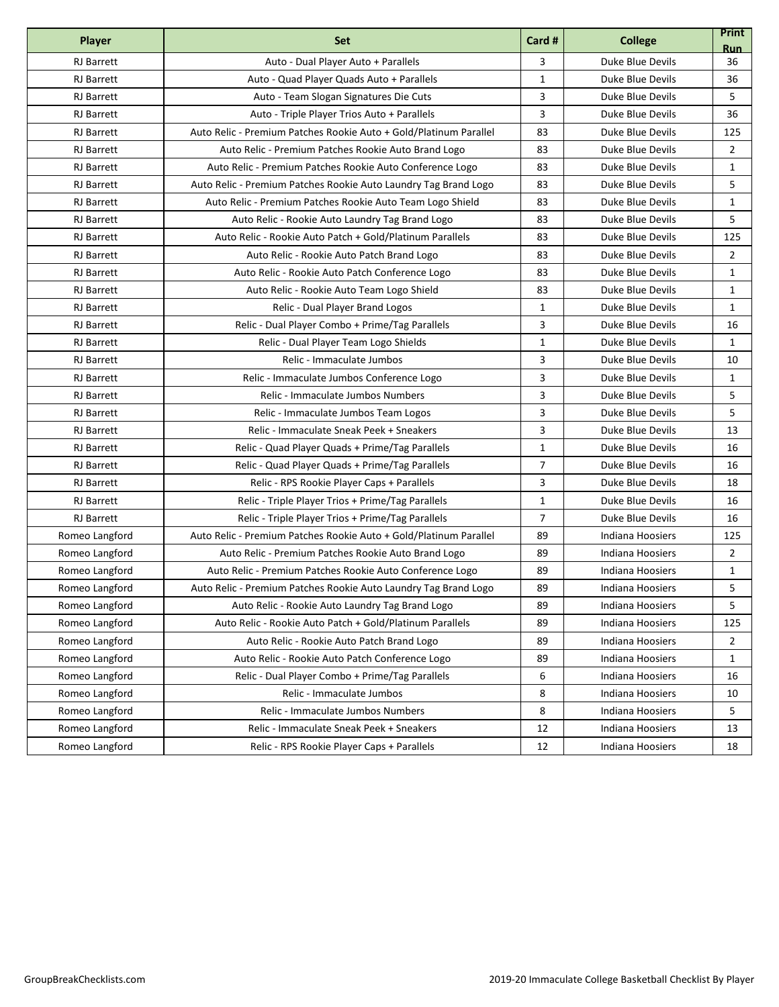| <b>Player</b>     | <b>Set</b>                                                        | Card #         | <b>College</b>   | <b>Print</b><br><b>Run</b> |
|-------------------|-------------------------------------------------------------------|----------------|------------------|----------------------------|
| <b>RJ</b> Barrett | Auto - Dual Player Auto + Parallels                               | 3              | Duke Blue Devils | 36                         |
| <b>RJ</b> Barrett | Auto - Quad Player Quads Auto + Parallels                         | $\mathbf{1}$   | Duke Blue Devils | 36                         |
| <b>RJ</b> Barrett | Auto - Team Slogan Signatures Die Cuts                            | 3              | Duke Blue Devils | 5                          |
| <b>RJ</b> Barrett | Auto - Triple Player Trios Auto + Parallels                       | 3              | Duke Blue Devils | 36                         |
| <b>RJ</b> Barrett | Auto Relic - Premium Patches Rookie Auto + Gold/Platinum Parallel | 83             | Duke Blue Devils | 125                        |
| <b>RJ</b> Barrett | Auto Relic - Premium Patches Rookie Auto Brand Logo               | 83             | Duke Blue Devils | 2                          |
| <b>RJ</b> Barrett | Auto Relic - Premium Patches Rookie Auto Conference Logo          | 83             | Duke Blue Devils | $\mathbf{1}$               |
| <b>RJ</b> Barrett | Auto Relic - Premium Patches Rookie Auto Laundry Tag Brand Logo   | 83             | Duke Blue Devils | 5                          |
| <b>RJ</b> Barrett | Auto Relic - Premium Patches Rookie Auto Team Logo Shield         | 83             | Duke Blue Devils | 1                          |
| <b>RJ</b> Barrett | Auto Relic - Rookie Auto Laundry Tag Brand Logo                   | 83             | Duke Blue Devils | 5                          |
| <b>RJ</b> Barrett | Auto Relic - Rookie Auto Patch + Gold/Platinum Parallels          | 83             | Duke Blue Devils | 125                        |
| <b>RJ</b> Barrett | Auto Relic - Rookie Auto Patch Brand Logo                         | 83             | Duke Blue Devils | $\overline{2}$             |
| <b>RJ</b> Barrett | Auto Relic - Rookie Auto Patch Conference Logo                    | 83             | Duke Blue Devils | $\mathbf{1}$               |
| <b>RJ</b> Barrett | Auto Relic - Rookie Auto Team Logo Shield                         | 83             | Duke Blue Devils | $\mathbf{1}$               |
| <b>RJ</b> Barrett | Relic - Dual Player Brand Logos                                   | $\mathbf{1}$   | Duke Blue Devils | $\mathbf{1}$               |
| <b>RJ</b> Barrett | Relic - Dual Player Combo + Prime/Tag Parallels                   | 3              | Duke Blue Devils | 16                         |
| <b>RJ</b> Barrett | Relic - Dual Player Team Logo Shields                             | $\mathbf{1}$   | Duke Blue Devils | 1                          |
| <b>RJ</b> Barrett | Relic - Immaculate Jumbos                                         | 3              | Duke Blue Devils | 10                         |
| <b>RJ</b> Barrett | Relic - Immaculate Jumbos Conference Logo                         | 3              | Duke Blue Devils | 1                          |
| <b>RJ</b> Barrett | Relic - Immaculate Jumbos Numbers                                 | 3              | Duke Blue Devils | 5                          |
| <b>RJ</b> Barrett | Relic - Immaculate Jumbos Team Logos                              | 3              | Duke Blue Devils | 5                          |
| <b>RJ</b> Barrett | Relic - Immaculate Sneak Peek + Sneakers                          | 3              | Duke Blue Devils | 13                         |
| <b>RJ</b> Barrett | Relic - Quad Player Quads + Prime/Tag Parallels                   | 1              | Duke Blue Devils | 16                         |
| <b>RJ</b> Barrett | Relic - Quad Player Quads + Prime/Tag Parallels                   | $\overline{7}$ | Duke Blue Devils | 16                         |
| RJ Barrett        | Relic - RPS Rookie Player Caps + Parallels                        | 3              | Duke Blue Devils | 18                         |
| <b>RJ</b> Barrett | Relic - Triple Player Trios + Prime/Tag Parallels                 | $\mathbf{1}$   | Duke Blue Devils | 16                         |
| <b>RJ</b> Barrett | Relic - Triple Player Trios + Prime/Tag Parallels                 | $\overline{7}$ | Duke Blue Devils | 16                         |
| Romeo Langford    | Auto Relic - Premium Patches Rookie Auto + Gold/Platinum Parallel | 89             | Indiana Hoosiers | 125                        |
| Romeo Langford    | Auto Relic - Premium Patches Rookie Auto Brand Logo               | 89             | Indiana Hoosiers | 2                          |
| Romeo Langford    | Auto Relic - Premium Patches Rookie Auto Conference Logo          | 89             | Indiana Hoosiers | $\mathbf{1}$               |
| Romeo Langford    | Auto Relic - Premium Patches Rookie Auto Laundry Tag Brand Logo   | 89             | Indiana Hoosiers | 5                          |
| Romeo Langford    | Auto Relic - Rookie Auto Laundry Tag Brand Logo                   | 89             | Indiana Hoosiers | 5                          |
| Romeo Langford    | Auto Relic - Rookie Auto Patch + Gold/Platinum Parallels          | 89             | Indiana Hoosiers | 125                        |
| Romeo Langford    | Auto Relic - Rookie Auto Patch Brand Logo                         | 89             | Indiana Hoosiers | 2                          |
| Romeo Langford    | Auto Relic - Rookie Auto Patch Conference Logo                    | 89             | Indiana Hoosiers | $\mathbf{1}$               |
| Romeo Langford    | Relic - Dual Player Combo + Prime/Tag Parallels                   | 6              | Indiana Hoosiers | 16                         |
| Romeo Langford    | Relic - Immaculate Jumbos                                         | 8              | Indiana Hoosiers | 10                         |
| Romeo Langford    | Relic - Immaculate Jumbos Numbers                                 | 8              | Indiana Hoosiers | 5                          |
| Romeo Langford    | Relic - Immaculate Sneak Peek + Sneakers                          | 12             | Indiana Hoosiers | 13                         |
| Romeo Langford    | Relic - RPS Rookie Player Caps + Parallels                        | 12             | Indiana Hoosiers | 18                         |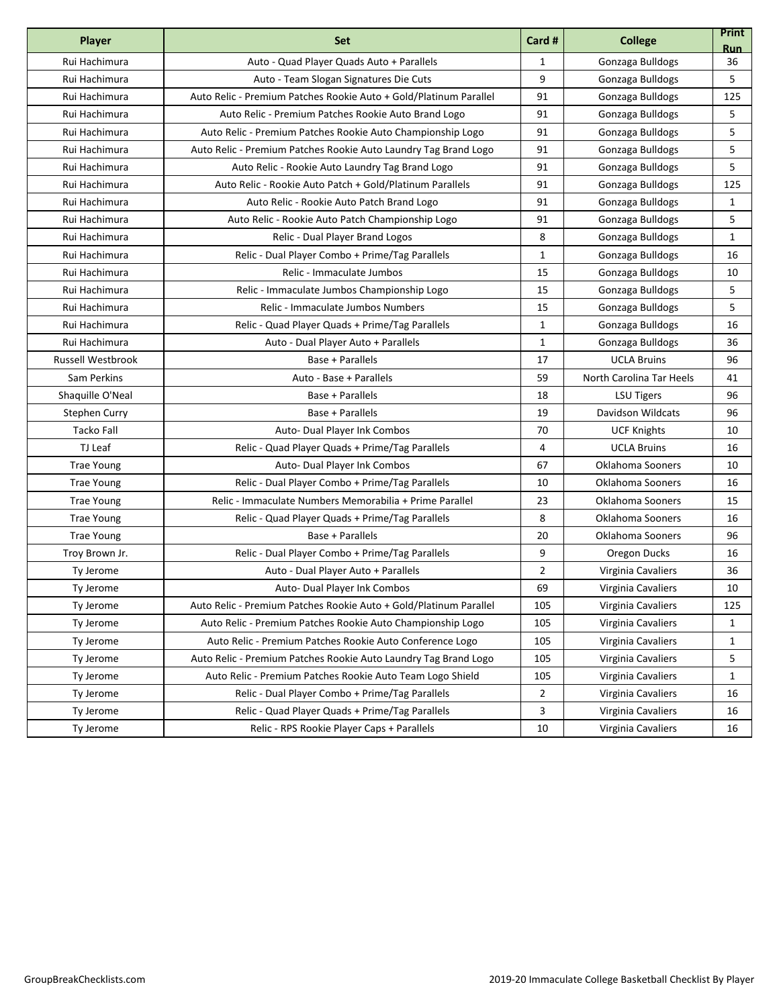| <b>Player</b>            | <b>Set</b>                                                        | Card #         | <b>College</b>           | <b>Print</b><br><b>Run</b> |
|--------------------------|-------------------------------------------------------------------|----------------|--------------------------|----------------------------|
| Rui Hachimura            | Auto - Quad Player Quads Auto + Parallels                         | $\mathbf{1}$   | Gonzaga Bulldogs         | 36                         |
| Rui Hachimura            | Auto - Team Slogan Signatures Die Cuts                            | 9              | Gonzaga Bulldogs         | 5                          |
| Rui Hachimura            | Auto Relic - Premium Patches Rookie Auto + Gold/Platinum Parallel | 91             | Gonzaga Bulldogs         | 125                        |
| Rui Hachimura            | Auto Relic - Premium Patches Rookie Auto Brand Logo               | 91             | Gonzaga Bulldogs         | 5                          |
| Rui Hachimura            | Auto Relic - Premium Patches Rookie Auto Championship Logo        | 91             | Gonzaga Bulldogs         | 5                          |
| Rui Hachimura            | Auto Relic - Premium Patches Rookie Auto Laundry Tag Brand Logo   | 91             | Gonzaga Bulldogs         | 5                          |
| Rui Hachimura            | Auto Relic - Rookie Auto Laundry Tag Brand Logo                   | 91             | Gonzaga Bulldogs         | 5                          |
| Rui Hachimura            | Auto Relic - Rookie Auto Patch + Gold/Platinum Parallels          | 91             | Gonzaga Bulldogs         | 125                        |
| Rui Hachimura            | Auto Relic - Rookie Auto Patch Brand Logo                         | 91             | Gonzaga Bulldogs         | 1                          |
| Rui Hachimura            | Auto Relic - Rookie Auto Patch Championship Logo                  | 91             | Gonzaga Bulldogs         | 5                          |
| Rui Hachimura            | Relic - Dual Player Brand Logos                                   | 8              | Gonzaga Bulldogs         | 1                          |
| Rui Hachimura            | Relic - Dual Player Combo + Prime/Tag Parallels                   | $\mathbf{1}$   | Gonzaga Bulldogs         | 16                         |
| Rui Hachimura            | Relic - Immaculate Jumbos                                         | 15             | Gonzaga Bulldogs         | 10                         |
| Rui Hachimura            | Relic - Immaculate Jumbos Championship Logo                       | 15             | Gonzaga Bulldogs         | 5                          |
| Rui Hachimura            | Relic - Immaculate Jumbos Numbers                                 | 15             | Gonzaga Bulldogs         | 5                          |
| Rui Hachimura            | Relic - Quad Player Quads + Prime/Tag Parallels                   | $\mathbf{1}$   | Gonzaga Bulldogs         | 16                         |
| Rui Hachimura            | Auto - Dual Player Auto + Parallels                               | $\mathbf{1}$   | Gonzaga Bulldogs         | 36                         |
| <b>Russell Westbrook</b> | Base + Parallels                                                  | 17             | <b>UCLA Bruins</b>       | 96                         |
| Sam Perkins              | Auto - Base + Parallels                                           | 59             | North Carolina Tar Heels | 41                         |
| Shaquille O'Neal         | Base + Parallels                                                  | 18             | <b>LSU Tigers</b>        | 96                         |
| Stephen Curry            | <b>Base + Parallels</b>                                           | 19             | Davidson Wildcats        | 96                         |
| Tacko Fall               | Auto- Dual Player Ink Combos                                      | 70             | <b>UCF Knights</b>       | 10                         |
| TJ Leaf                  | Relic - Quad Player Quads + Prime/Tag Parallels                   | 4              | <b>UCLA Bruins</b>       | 16                         |
| <b>Trae Young</b>        | Auto- Dual Player Ink Combos                                      | 67             | Oklahoma Sooners         | 10                         |
| <b>Trae Young</b>        | Relic - Dual Player Combo + Prime/Tag Parallels                   | 10             | Oklahoma Sooners         | 16                         |
| <b>Trae Young</b>        | Relic - Immaculate Numbers Memorabilia + Prime Parallel           | 23             | Oklahoma Sooners         | 15                         |
| <b>Trae Young</b>        | Relic - Quad Player Quads + Prime/Tag Parallels                   | 8              | Oklahoma Sooners         | 16                         |
| <b>Trae Young</b>        | Base + Parallels                                                  | 20             | Oklahoma Sooners         | 96                         |
| Troy Brown Jr.           | Relic - Dual Player Combo + Prime/Tag Parallels                   | 9              | Oregon Ducks             | 16                         |
| Ty Jerome                | Auto - Dual Player Auto + Parallels                               | $\overline{2}$ | Virginia Cavaliers       | 36                         |
| Ty Jerome                | Auto- Dual Player Ink Combos                                      | 69             | Virginia Cavaliers       | 10                         |
| Ty Jerome                | Auto Relic - Premium Patches Rookie Auto + Gold/Platinum Parallel | 105            | Virginia Cavaliers       | 125                        |
| Ty Jerome                | Auto Relic - Premium Patches Rookie Auto Championship Logo        | 105            | Virginia Cavaliers       | 1                          |
| Ty Jerome                | Auto Relic - Premium Patches Rookie Auto Conference Logo          | 105            | Virginia Cavaliers       | 1                          |
| Ty Jerome                | Auto Relic - Premium Patches Rookie Auto Laundry Tag Brand Logo   | 105            | Virginia Cavaliers       | 5                          |
| Ty Jerome                | Auto Relic - Premium Patches Rookie Auto Team Logo Shield         | 105            | Virginia Cavaliers       | 1                          |
| Ty Jerome                | Relic - Dual Player Combo + Prime/Tag Parallels                   | $\overline{2}$ | Virginia Cavaliers       | 16                         |
| Ty Jerome                | Relic - Quad Player Quads + Prime/Tag Parallels                   | 3              | Virginia Cavaliers       | 16                         |
| Ty Jerome                | Relic - RPS Rookie Player Caps + Parallels                        | 10             | Virginia Cavaliers       | 16                         |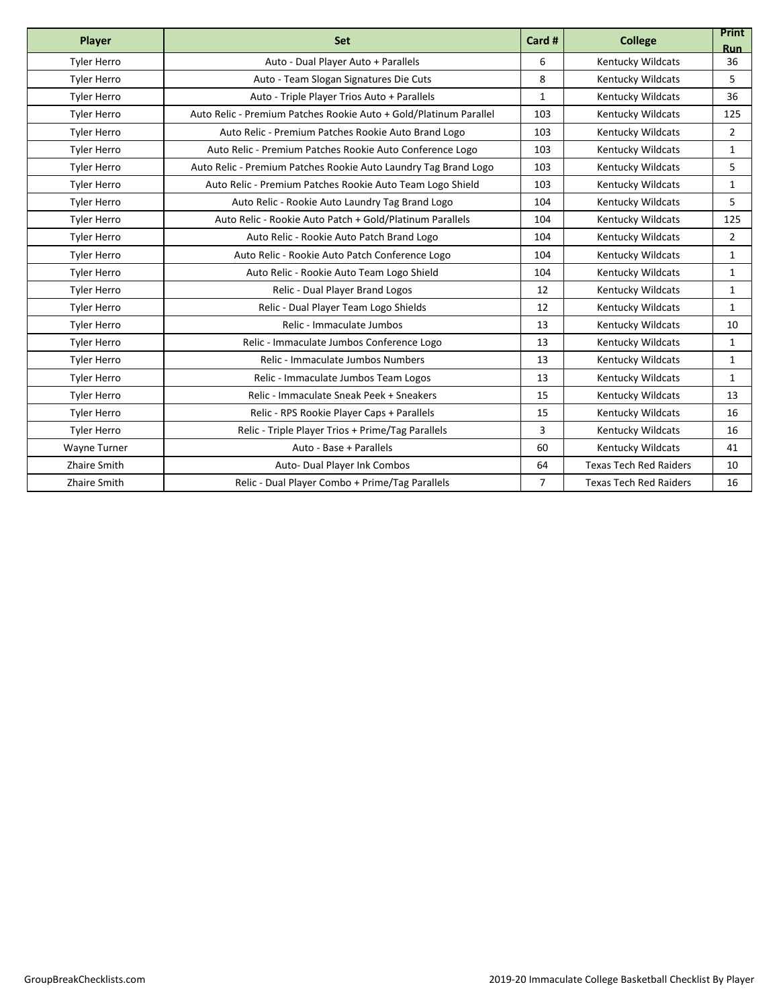| Player              | <b>Set</b>                                                        | Card #         | <b>College</b>                | <b>Print</b><br><b>Run</b> |
|---------------------|-------------------------------------------------------------------|----------------|-------------------------------|----------------------------|
| <b>Tyler Herro</b>  | Auto - Dual Player Auto + Parallels                               | 6              | Kentucky Wildcats             | 36                         |
| <b>Tyler Herro</b>  | Auto - Team Slogan Signatures Die Cuts                            | 8              | Kentucky Wildcats             | 5                          |
| <b>Tyler Herro</b>  | Auto - Triple Player Trios Auto + Parallels                       | 1              | Kentucky Wildcats             | 36                         |
| <b>Tyler Herro</b>  | Auto Relic - Premium Patches Rookie Auto + Gold/Platinum Parallel | 103            | Kentucky Wildcats             | 125                        |
| <b>Tyler Herro</b>  | Auto Relic - Premium Patches Rookie Auto Brand Logo               | 103            | Kentucky Wildcats             | $\overline{2}$             |
| <b>Tyler Herro</b>  | Auto Relic - Premium Patches Rookie Auto Conference Logo          | 103            | Kentucky Wildcats             | $\mathbf{1}$               |
| <b>Tyler Herro</b>  | Auto Relic - Premium Patches Rookie Auto Laundry Tag Brand Logo   | 103            | Kentucky Wildcats             | 5                          |
| <b>Tyler Herro</b>  | Auto Relic - Premium Patches Rookie Auto Team Logo Shield         | 103            | Kentucky Wildcats             | 1                          |
| <b>Tyler Herro</b>  | Auto Relic - Rookie Auto Laundry Tag Brand Logo                   | 104            | Kentucky Wildcats             | 5                          |
| <b>Tyler Herro</b>  | Auto Relic - Rookie Auto Patch + Gold/Platinum Parallels          | 104            | Kentucky Wildcats             | 125                        |
| <b>Tyler Herro</b>  | Auto Relic - Rookie Auto Patch Brand Logo                         | 104            | Kentucky Wildcats             | $\overline{2}$             |
| <b>Tyler Herro</b>  | Auto Relic - Rookie Auto Patch Conference Logo                    | 104            | Kentucky Wildcats             | $\mathbf{1}$               |
| <b>Tyler Herro</b>  | Auto Relic - Rookie Auto Team Logo Shield                         | 104            | Kentucky Wildcats             | $\mathbf{1}$               |
| <b>Tyler Herro</b>  | Relic - Dual Player Brand Logos                                   | 12             | Kentucky Wildcats             | $\mathbf{1}$               |
| <b>Tyler Herro</b>  | Relic - Dual Player Team Logo Shields                             | 12             | <b>Kentucky Wildcats</b>      | $\mathbf{1}$               |
| <b>Tyler Herro</b>  | Relic - Immaculate Jumbos                                         | 13             | Kentucky Wildcats             | 10                         |
| <b>Tyler Herro</b>  | Relic - Immaculate Jumbos Conference Logo                         | 13             | Kentucky Wildcats             | $\mathbf{1}$               |
| <b>Tyler Herro</b>  | Relic - Immaculate Jumbos Numbers                                 | 13             | Kentucky Wildcats             | $\mathbf{1}$               |
| <b>Tyler Herro</b>  | Relic - Immaculate Jumbos Team Logos                              | 13             | Kentucky Wildcats             | $\mathbf{1}$               |
| <b>Tyler Herro</b>  | Relic - Immaculate Sneak Peek + Sneakers                          | 15             | Kentucky Wildcats             | 13                         |
| <b>Tyler Herro</b>  | Relic - RPS Rookie Player Caps + Parallels                        | 15             | Kentucky Wildcats             | 16                         |
| <b>Tyler Herro</b>  | Relic - Triple Player Trios + Prime/Tag Parallels                 | 3              | Kentucky Wildcats             | 16                         |
| Wayne Turner        | Auto - Base + Parallels                                           | 60             | Kentucky Wildcats             | 41                         |
| <b>Zhaire Smith</b> | Auto- Dual Player Ink Combos                                      | 64             | <b>Texas Tech Red Raiders</b> | 10                         |
| Zhaire Smith        | Relic - Dual Player Combo + Prime/Tag Parallels                   | $\overline{7}$ | <b>Texas Tech Red Raiders</b> | 16                         |